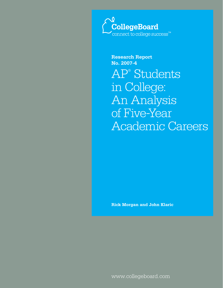

**Research Report No. 2007-4** AP® Students in College: An Analysis of Five-Year Academic Careers

**Rick Morgan and John Klaric**

www.collegeboard.com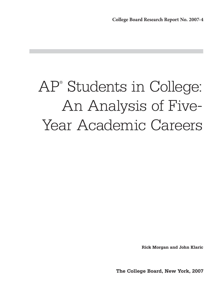# AP® Students in College: An Analysis of Five-Year Academic Careers

**Rick Morgan and John Klaric**

**The College Board, New York, 2007**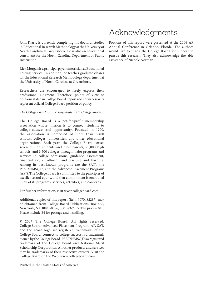John Klaric is currently completing his doctoral studies in Educational Research Methodology at the University of North Carolina at Greensboro. He is also an educational consultant for the North Carolina Department of Public Instruction.

Rick Morgan is a principal psychometrician at Educational Testing Service. In addition, he teaches graduate classes for the Educational Research Methodology department at the University of North Carolina at Greensboro.

Researchers are encouraged to freely express their professional judgment. Therefore, points of view or opinions stated in College Board Reports do not necessarily represent official College Board position or policy.

*The College Board: Connecting Students to College Success*

The College Board is a not-for-profit membership association whose mission is to connect students to college success and opportunity. Founded in 1900, the association is composed of more than 5,400 schools, colleges, universities, and other educational organizations. Each year, the College Board serves seven million students and their parents, 23,000 high schools, and 3,500 colleges through major programs and services in college admissions, guidance, assessment, financial aid, enrollment, and teaching and learning. Among its best-known programs are the SAT®, the PSAT/NMSQT®, and the Advanced Placement Program® (AP®). The College Board is committed to the principles of excellence and equity, and that commitment is embodied in all of its programs, services, activities, and concerns.

For further information, visit www.collegeboard.com.

Additional copies of this report (item #070482287) may be obtained from College Board Publications, Box 886, New York, NY 10101-0886, 800 323-7155. The price is \$15. Please include \$4 for postage and handling.

© 2007 The College Board. All rights reserved. College Board, Advanced Placement Program, AP, SAT, and the acorn logo are registered trademarks of the College Board. connect to college success is a trademark owned by the College Board. PSAT/NMSQT is a registered trademark of the College Board and National Merit Scholarship Corporation. All other products and services may be trademarks of their respective owners. Visit the College Board on the Web: www.collegeboard.com.

Printed in the United States of America.

# Acknowledgments

Portions of this report were presented at the 2006 AP Annual Conference in Orlando, Florida. The authors would like to thank the College Board for support to pursue this research. They also acknowledge the able assistance of Nichole Norman.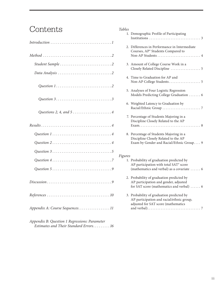## Contents

| Question 33                                                         |
|---------------------------------------------------------------------|
| Questions 2, 4, and $5 \ldots \ldots \ldots \ldots \ldots \ldots 4$ |
|                                                                     |
|                                                                     |
|                                                                     |
|                                                                     |
|                                                                     |
|                                                                     |
|                                                                     |
|                                                                     |
| Appendix A: Course Sequences. 11                                    |

*Appendix B: Question 1 Regressions: Parameter Estimates and Their Standard Errors. . . . . . . . . 16*

| <b>Tables</b> |                                                                                            |
|---------------|--------------------------------------------------------------------------------------------|
|               | 1. Demographic Profile of Participating                                                    |
|               |                                                                                            |
|               | 2. Differences in Performance in Intermediate                                              |
|               | Courses, AP <sup>®</sup> Students Compared to                                              |
|               | Non-AP Students  4                                                                         |
|               | 3. Amount of College Course Work in a                                                      |
|               | Closely Related Discipline  5                                                              |
|               |                                                                                            |
|               | 4. Time to Graduation for AP and                                                           |
|               |                                                                                            |
|               | 5. Analyses of Four Logistic Regression                                                    |
|               | Models Predicting College Graduation  6                                                    |
|               | 6. Weighted Latency to Graduation by                                                       |
|               |                                                                                            |
|               |                                                                                            |
|               | 7. Percentage of Students Majoring in a<br>Discipline Closely Related to the AP            |
|               |                                                                                            |
|               |                                                                                            |
|               | 8. Percentage of Students Majoring in a                                                    |
|               | Discipline Closely Related to the AP                                                       |
|               | Exam by Gender and Racial/Ethnic Group 9                                                   |
|               |                                                                                            |
| Figures       |                                                                                            |
|               | 1. Probability of graduation predicted by                                                  |
|               | AP participation with total SAT® score<br>(mathematics and verbal) as a covariate  6       |
|               |                                                                                            |
|               | 2. Probability of graduation predicted by                                                  |
|               | AP participation and gender, adjusted                                                      |
|               | for SAT score (mathematics and verbal)  6                                                  |
|               | 3. Probability of graduation predicted by                                                  |
|               | $\mathbf{1}$ $\mathbf{1}$ $\mathbf{1}$ $\mathbf{1}$ $\mathbf{1}$ $\mathbf{1}$ $\mathbf{1}$ |

AP participation and racial/ethnic group, adjusted for SAT score (mathematics and verbal). . . . . . . . . . . . . . . . . . . . . . . . . . . . . . . . 7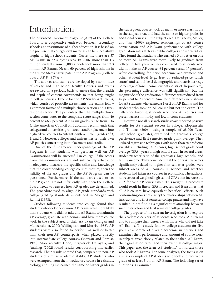### Introduction

The Advanced Placement Program® (AP®) of the College Board is a cooperative endeavor between secondary schools and institutions of higher education. It is based on the premise that college-level material can be successfully taught to high school students. Currently, there are 37 AP Exams in 22 subject areas. In 2006, more than 1.3 million students from 16,000 schools took more than 2.3 million AP Exams. Nearly 60 percent of high schools in the United States participate in the AP Program (College Board, *AP Fact Sheet*).

The courses and exams are developed by a committee of college and high school faculty. Courses and exams are revised on a periodic basis to ensure that the breadth and depth of content corresponds to that being taught in college courses. Except for the AP Studio Art Exams, which consist of portfolio assessments, the exams follow a common format of a multiple-choice section and a freeresponse section. The percentage that the multiple-choice section contributes to the composite score ranges from 40 percent to 66.7 percent. AP Exam grades range from 1 to 5. The American Council on Education recommends that colleges and universities grant credit and/or placement into higher-level courses to entrants with AP Exam grades of 3, 4, and 5. However, colleges and universities set their own AP policies concerning both placement and credit.

One of the fundamental underpinnings of the AP Program is that students who perform well on AP Examinations will be successful in college. If the scores from the examinations are not sufficiently reliable or inadequately measure the specific skills and knowledge that the corresponding college courses require, then the validity of the AP grades and the AP Program can be questioned. Furthermore, if the standards used to set the AP grades are not sufficiently high, then the College Board needs to reassess how AP grades are determined. The procedure used to align AP grade standards with college grading standards is outlined in Morgan and Ramist (1998).

Studies following students into college found that students who took one or more AP Exams were more likely than students who did not take any AP Exams to maintain a B average, graduate with honors, and have more course work in the subject area of their AP Exam (Morgan and Maneckshana, 2000; Willingham and Morris, 1986). AP students were also found to perform as well or better than their non-AP counterparts when placed directly into intermediate college courses (Morgan and Ramist, 1998). More recently, Dodd, Fitzpatrick, De Ayala, and Jennings (2002) found results corroborating this earlier research. Their results showed that, compared to non-AP students of similar academic ability, AP students who were exempted from the introductory course in calculus, biology, and English earned the same or higher grades in

the subsequent course, took as many or more class hours in the subject area, and had the same or higher grades in additional courses in the subject area. Dougherty, Mellor, and Jian (2006) explored relationships of AP course participation and AP Exam performance with college graduation rates at Texas public colleges and universities. They found that students who earned a 3 or better on one or more AP Exams were more likely to graduate from college in five years or less compared to students who did not take an AP course (64 percent versus 17 percent). After controlling for prior academic achievement and other student-level (e.g., free or reduced-price lunch status) and school-level demographic characteristics (e.g., percentage of low-income students, district dropout rate), the percentage difference was still significant, but the magnitude of the graduation difference was reduced from 47 percent to 20 percent. Smaller differences were shown for AP students who earned a 1 or 2 on AP Exams and for students who took an AP course but not the exam. The difference favoring students who took AP courses was present across minority and low-income students.

However, not all research studies have reported positive results for AP student success in college. Klopfenstein and Thomas (2006), using a sample of 28,000 Texas high school graduates, examined the graduates' college persistence and first semester grade point average. They utilized regression techniques with more than 30 predictor variables, including SAT® scores, high school grade point average (GPA), years of high school study in several areas, student/teacher ratio of the graduates' high schools, and family income. They concluded that the only AP variables significantly related to higher first semester grades were subject areas of AP courses in science and whether students had taken AP courses in economics. The authors, however, used weighted high school GPAs that increase the GPA for each AP course taken. This weighting procedure would result in linear GPA increases, and it assumes that all AP courses have equivalent beneficial effects. Such confounding does not clarify the relationships between AP instruction and first semester college grades and may have resulted in not finding a significant relationship between such instruction and first semester college grades.

The purpose of the current investigation is to explore the academic careers of students who took AP Exams and to compare their careers with those who did not take AP Exams. This study follows college students for five years at a sample of diverse academic institutions and examines their performance and amount of course work in subject areas closely related to their taken AP Exam, their graduation rates, and their eventual college major. This paper uses the term "AP students" to indicate those who took AP Exams. For some analyses, the focus is on a smaller sample of AP students who took and received a grade of at least 3 on an AP Exam. The following set of questions is examined: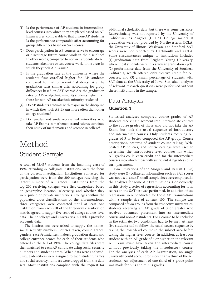- (1) Is the performance of AP students in intermediatelevel courses into which they are placed based on AP Exam scores, comparable to that of non-AP students? Is the performance comparable after accounting for group differences based on SAT scores?
- (2) Does participation in AP courses serve to encourage or discourage future course work in the discipline? In other words, compared to non-AP students, do AP students take more or less course work in the areas in which they took AP Exams?
- (3) Is the graduation rate at the university where the students first enrolled higher for AP students compared to that of non-AP students? Are the graduation rates similar after accounting for group differences based on SAT scores? Are the graduation rates for AP racial/ethnic minority students higher than those for non-AP racial/ethnic minority students?
- (4) Do AP students graduate with majors in the discipline in which they took AP Exams more often than other college students?
- (5) Do females and underrepresented minorities who take AP Exams in mathematics and science continue their study of mathematics and science in college?

### Method Student Sample

A total of 72,457 students from the incoming class of 1994, attending 27 collegiate institutions, were the focus of the current investigation. Institutions contacted for participation were from the 200 colleges receiving the largest number of AP grades. Institutions from the top 200 receiving colleges were first categorized based on geographic location, selectivity, and whether they were public or private institutions. Colleges within the populated cross-classifications of the aforementioned three categories were contacted until at least one institution from each cell of the three-way classification matrix agreed to supply five years of college course–level data. The 27 colleges and universities in Table 1 provided academic data.

The institutions were asked to supply the names, social security numbers, courses taken, course grades, genders, races/ethnicities, majors, graduation dates, and college entrance scores for each of their students who entered in the fall of 1994. The college data files were then matched to each AP candidate using social security numbers and student names. When data were analyzed, unique identifiers were assigned to each student; names and social security numbers were dropped from the data sets. Most institutions complied with the request for additional scholastic data, but there was some variance. Race/ethnicity was not reported by the University of California–Los Angeles (UCLA). College majors at graduation were not provided by Northwestern, UCLA, the University of Illinois, Wesleyan, and Stanford. SAT scores were not reported by Dartmouth and UCLA. Some circumstances unique to institutions included (1) graduation data from Brigham Young University, where most students were in a six-year graduation cycle, (2) performance data from the University of Southern California, which offered only elective credit for AP courses, and (3) a small percentage of students with SAT data at the University of Iowa. Statistical analyses of relevant research questions were performed without these institutions in the sample.

#### Data Analysis

#### **Question 1**

Statistical analyses compared course grades of AP students receiving placement into intermediate courses to the course grades of those who did not take the AP Exam, but took the usual sequence of introductory and intermediate courses. Only students receiving AP grades of 3 or better composed the AP group. Course descriptions, patterns of student course taking, Webposted AP policies, and course catalogs were used to determine the introductory-level courses for which AP grades could earn credit and for the intermediate courses into which those with sufficient AP grades could earn placement.

Two limitations of the Morgan and Ramist (1998) study were (1) collateral information such as SAT scores was not used, and (2) small sample sizes were employed in the analyses for some AP Examinations. Consequently, in this study a series of regressions accounting for total scores on the SAT test was performed. In addition, these regressions were conducted for those AP Examinations with a sample size of at least 100. The sample was composed of two groups from the respective universities: students receiving an AP grade of 3 or greater who received advanced placement into an intermediate course and non-AP students. For a course to be included in the estimate, two conditions had to be met: At least five students had to follow the usual course sequence by taking the lower-level course in the subject area before taking the higher-level course. In addition, at least one student with an AP grade of 3 or higher on the relevant AP Exam must have taken the intermediate course without previously taking the introductory course. For the analyses of each AP Examination, no single university could account for more than a third of the AP students. An adjustment of one-third of a grade point was made for plus and minus grades.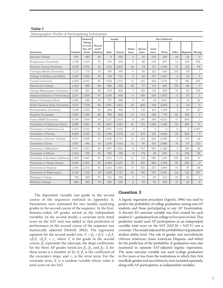| Demographic Profile of Participating Institutions |                 |                                      |                                     |                |        |                        |                  |                |          |                |                 |                     |
|---------------------------------------------------|-----------------|--------------------------------------|-------------------------------------|----------------|--------|------------------------|------------------|----------------|----------|----------------|-----------------|---------------------|
|                                                   |                 | <b>Students</b>                      |                                     |                | Gender | Race/Ethnicity         |                  |                |          |                |                 |                     |
| <b>Institution</b>                                | <b>Students</b> | Taking<br>at Least<br>One AP<br>Exam | Percent<br>of AP<br><b>Students</b> | Male           | Female | <b>Native</b><br>Amer. | African<br>Amer. | Asian<br>Amer. | White    | Other          | <b>Hispanic</b> | <b>Missing</b>      |
| <b>Barnard College</b>                            | 555             | 442                                  | 80                                  | $\overline{0}$ | 555    | $\overline{2}$         | 20               | 135            | 346      | 2.4            | 2.8             | $\overline{0}$      |
| <b>Binghamton University</b>                      | 1,728           | 1,215                                | 70                                  | 793            | 935    | $\overline{c}$         | 88               | 234            | 987      | 12             | 109             | 296                 |
| Brigham Young University                          | 4,128           | 2,550                                | 62                                  | 1,723          | 2,405  | 41                     | 14               | 137            | 3.746    | 12             | 114             | 64                  |
| Carnegie Mellon University                        | 1,112           | 775                                  | 70                                  | 765            | 347    | 5                      | 69               | 221            | 540      | 218            | 58              | $\mathbf{1}$        |
| College of William and Mary                       | 1,247           | 1,040                                | 83                                  | 514            | 733    | 5                      | 83               | 107            | 1,027    | $\Omega$       | 25              | $\Omega$            |
| Cornell University                                | 2,909           | 2,412                                | 83                                  | 1,526          | 1,333  | 13                     | 125              | 464            | 1,576    | 31             | 195             | 505                 |
| Dartmouth College                                 | 1,052           | 886                                  | 84                                  | 546            | 506    | 22                     | 77               | 112            | 621      | 174            | 46              | $\overline{0}$      |
| George Washington University                      | 1.580           | 921                                  | 58                                  | 679            | 869    | 7                      | 109              | 195            | 998      | 70             | 65              | 136                 |
| Georgia Institute of Technology                   | 2.181           | 1,469                                | 67                                  | 1.580          | 600    | 5                      | 189              | 234            | 1.672    | 5              | 75              | $\mathbf{1}$        |
| Miami University (Ohio)                           | 1.685           | 648                                  | 38                                  | 737            | 948    | 3                      | 87               | 34             | 1,521    | $\Omega$       | 18              | 22                  |
| North Carolina State University                   | 3,513           | 1,709                                | 49                                  | 2,091          | 1,422  | 23                     | 409              | 158            | 2,884    | $\overline{0}$ | 39              | $\overline{0}$      |
| Northwestern University                           | 1,838           | 1,502                                | 82                                  | 894            | 944    | 5                      | 116              | 413            | 1,194    | $\Omega$       | 57              | 53                  |
| Stanford University                               | 1.587           | 1,390                                | 88                                  | 785            | 802    | 17                     | 113              | 426            | 775      | 80             | 169             | $7^{\circ}$         |
| Texas A&M University                              | 6,044           | 2199                                 | 36                                  | 3,111          | 2,933  | $\overline{0}$         | 290              | 249            | 4,633    | 17             | 854             | $\mathbf{1}$        |
| University of California-Davis                    | 2,988           | 1,891                                | 63                                  | 1,407          | 1,581  | 41                     | 133              | 1,084          | 1,268    | 50             | 399             | 13                  |
| University of California-LA                       | 3.973           | 3,222                                | 81                                  | 1.871          | 2,102  | $\mathbf{0}$           | 0                | $\Omega$       | $\Omega$ | $\Omega$       | 0               | 3,973               |
| University of Florida                             | 4,969           | 3,091                                | 62                                  | 2,395          | 2,574  | 12                     | 372              | 325            | 3.640    | 20             | 595             | 5                   |
| University of Illinois-Urbana                     | 5,671           | 2,899                                | 51                                  | 2,938          | 2,733  | 11                     | 418              | 805            | 4.095    | $\Omega$       | 318             | 24                  |
| University of Iowa                                | 2,851           | 445                                  | 16                                  | 1,298          | 1,552  | 13                     | 85               | 101            | 2,446    | 16             | 67              | 123                 |
| University of Maryland                            | 3,807           | 1,513                                | 40                                  | 1,987          | 1,820  | 6                      | 557              | 583            | 2,386    | 0              | 186             | 89                  |
| University of Miami                               | 1,553           | 796                                  | 51                                  | 755            | 798    | $\overline{4}$         | 174              | 98             | 835      | $\Omega$       | 378             | 64                  |
| University of Southern California                 | 2,382           | 1,447                                | 61                                  | 1,211          | 1,171  | 11                     | 133              | 596            | 1,147    | 135            | 343             | 17                  |
| University of Texas-Austin                        | 5,805           | 2,891                                | 50                                  | 2,938          | 2,867  | 19                     | 306              | 860            | 3.742    | 43             | 835             | $\overline{0}$      |
| University of Virginia                            | 2.743           | 2,272                                | 83                                  | 1,253          | 1,490  | 11                     | 302              | 272            | 1.994    | 33             | 47              | 84                  |
| University of Washington                          | 3,336           | 1.129                                | 34                                  | 1,599          | 1,737  | 61                     | 100              | 791            | 2,051    | 54             | 122             | 157                 |
| Wesleyan College                                  | 726             | 484                                  | 67                                  | 331            | 395    | 0                      | 73               | 66             | 512      | 20             | 55              | $\circ$             |
| Williams College                                  | 494             | 392                                  | 79                                  | 252            | 242    | $\overline{2}$         | 33               | 50             | 360      | 17             | 32              | $\mathsf{O}\xspace$ |

#### **Table 1**

The dependent variable was grade in the second course of the sequences outlined in Appendix A. Parameters were estimated for two models analyzing grades in the second course of the sequence. In the first, dummy-coded AP grades served as the independent variables. In the second model, a covariate term (total score on the SAT test) was added so that prediction of performance in the second course of the sequence was statistically adjusted (Howell, 2002). The regression equation for the second model was:  $Y_i = \beta_0 + \beta_1 X_i + \beta_2 X_i$  $+\beta_3 X_i + \beta_4 X_i + r_i$ , where  $Y_i$  is the grade in the second course,  $\beta_{\textit{o}}$  represents the intercept, the slope coefficients for the three AP grades tested are  $\beta_1$ ,  $\beta_2$ , and  $\beta_3$ ;  $X_i$  for these terms is a member of  $\{0, 1\}$ ,  $\beta$ <sub>4</sub> is the coefficient of the covariate's slope, and  $r_i$ , is the error term. For the  $\alpha$  covariate term,  $X_i$  is a random variable whose value is total score on the SAT.

#### **Question 3**

A logistic regression procedure (Agresti, 1996) was used to predict the probability of college graduation among non-AP students and those participating in any AP Examination. A discrete 0/1 outcome variable was first created for each student  $(1 = \text{graduation from college in five years or less})$ . This predictive model used AP participation as an independent variable; total score on the SAT (SAT-M + SAT-V) was a covariate. This model adjusted the probabilities of graduation student ability level. The role of gender and race/ethnicity (African American, Asian American, Hispanic, and white) for the prediction of the probability of graduation were also examined in separate SAT-adjusted logistic regressions. The same outcome variable was used (college graduation in five years or less from the institutions in which they first enrolled); gender and race/ethnicity were included separately, along with AP participation, as independent variables.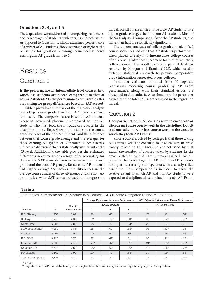#### **Questions 2, 4, and 5**

These questions were addressed by comparing frequencies and percentages of students with various characteristics. As opposed to Question 1, which examined performance of a subset of AP students (those scoring 3 or higher), the AP sample for Questions 2 through 5 included students earning any AP grade from 1 to 5.

# Results

#### Question 1

**Is the performance in intermediate-level courses into which AP students are placed comparable to that of non-AP students? Is the performance comparable after accounting for group differences based on SAT scores?**

Table 2 provides a summary of the regression analysis predicting course grade based on AP grade and SAT total score. The comparisons are based on AP students receiving advanced placement compared to non-AP students who first took the introductory course in the discipline at the college. Shown in the table are the course grade averages of the non-AP students and the difference between that course grade average and the averages for those earning AP grades of 3 through 5. An asterisk indicates a difference that is statistically significant at the .05 level. Additionally, the table provides the estimated differences in course grade averages after accounting for the average SAT score differences between the non-AP group and the three AP groups. Because the AP students had higher average SAT scores, the differences in the average course grades of three AP groups and the non-AP group is less when SAT scores are used in the regression

model. For all but six entries in the table, AP students have higher grade averages than the non-AP students. Most of the SAT-adjusted comparisons favor the AP students, and more than half are statistically significant.

The current analyses of college grades in identified course sequences indicate that AP students perform well when placed directly into intermediate college courses after receiving advanced placement for the introductory college course. The results generally parallel findings reported by Morgan and Ramist (1998), which used a different statistical approach to provide comparative grade information aggregated across colleges.

Parameter estimates obtained from 10 separate regressions modeling course grades by AP Exam performance, along with their standard errors, are presented in Appendix B. Also shown are the parameter estimates when total SAT score was used in the regression model.

#### Question 2

#### **Does participation in AP courses serve to encourage or discourage future course work in the discipline? Do AP students take more or less course work in the areas in which they took AP Exams?**

Since a concern voiced by colleges is that those taking AP courses will not continue to take courses in areas closely related to the discipline characterized by that exam, the number of courses taken by students in the areas related to each AP Exam was examined. Table 3 presents the percentages of AP and non-AP students taking at least a single college course in a closely allied discipline. This comparison is included to show the relative extent to which AP and non-AP students were exposed to disciplines closely related to each AP Exam.

**Table 2** 

|                     | <u>Differences in 1 enormance in miermeatate Obarses' ur prageme Obilbated to Mail ur prageme</u> |              |                                           |                      |        |                                                |                |        |  |
|---------------------|---------------------------------------------------------------------------------------------------|--------------|-------------------------------------------|----------------------|--------|------------------------------------------------|----------------|--------|--|
|                     |                                                                                                   |              | Average Differences in Course Performance |                      |        | SAT-Adjusted Differences in Course Performance |                |        |  |
|                     |                                                                                                   | $Non-AP$     |                                           | <b>AP Exam Grade</b> |        | <b>AP Exam Grade</b>                           |                |        |  |
| $AP$ Exam           | $\mathbf N$                                                                                       | Course Grade | 3                                         | 4                    | 5      | 3                                              | $\overline{4}$ | 5      |  |
| U.S. History        | 752                                                                                               | 2.87         | .18                                       | $.46*$               | $.61*$ | .17                                            | $.43*$         | $.57*$ |  |
| Biology             | 3.743                                                                                             | 2.80         | .07                                       | $.29*$               | $.63*$ | .03                                            | $.17*$         | $.43*$ |  |
| Chemistry           | 5,085                                                                                             | 2.88         | .06                                       | $.22\,$              | $.33*$ | $-.08$                                         | .03            | .11    |  |
| Macroeconomics      | 6,080                                                                                             | 2.88         | .16                                       | $-.03$               | $.68*$ | .05                                            | $-.33*$        | .33    |  |
| English**           | 9.057                                                                                             | 3.04         | $.33*$                                    | $.44*$               | $.79*$ | $.22*$                                         | $.28*$         | $.59*$ |  |
| <b>U.S. G&amp;P</b> | 3,425                                                                                             | 2.76         | $.17*$                                    | $.41*$               | $.51*$ | .08                                            | $.22*$         | $.26*$ |  |
| Calculus AB         | 5,932                                                                                             | 2.43         | $.26*$                                    | $.47*$               | $.91*$ | $.21*$                                         | $.35*$         | $.72*$ |  |
| Calculus BC         | 5.411                                                                                             | 2.50         | $.50*$                                    | $.95*$               | $.96*$ | $.42*$                                         | $.85*$         | $.77*$ |  |
| Psychology          | 4,440                                                                                             | 2.90         | .10                                       | .19                  | $.88*$ | .11                                            | .09            | .63    |  |
| Spanish Language    | 1,104                                                                                             | 3.11         | $.16*$                                    | $.22*$               | $.82*$ | .12                                            | .17            | $.76*$ |  |

Differences in Performance in Intermediate Courses, AP Students Compared to Non-AP Students

 $p < .05$ .

\*\* English refers to AP candidates taking either English Literature and Composition or English Language and Composition.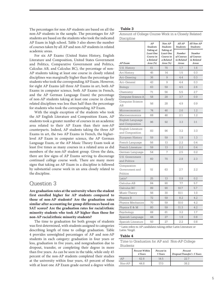The percentages for non-AP students are based on all the non-AP students in the sample. The percentages for AP students are based on the students who took the indicated AP Exam in high school. Table 3 also shows the number of courses taken by all AP and non-AP students in related academic areas.

For six AP Exams (United States History, English Literature and Composition, United States Government and Politics, Comparative Government and Politics, Calculus AB, and Calculus BC), the percentage of non-AP students taking at least one course in closely related disciplines was marginally higher than the percentage for students who took the corresponding AP Exam. However, for eight AP Exams (all three AP Exams in art, both AP Exams in computer science, both AP Exams in French, and the AP German Language Exam) the percentage of non-AP students taking at least one course in closely related disciplines was less than half than the percentage for students who took the corresponding AP Exam.

With the single exception of the students who took the AP English Literature and Composition Exam, AP students took a greater number of courses in an academic area related to their AP Exam than their non-AP counterparts. Indeed, AP students taking the three AP Exams in art, the two AP Exams in French, the higherlevel AP Exam in computer science, the AP German Language Exam, or the AP Music Theory Exam took at least five times as many courses in a related area as did members of the non-AP student group. Given the data, there are few signs of AP Exams serving to discourage continued college course work. There are many more signs that taking an AP Exam in a discipline is followed by substantial course work in an area closely related to the discipline.

#### Question 3

**Are graduation rates at the university where the student first enrolled higher for AP students compared to those of non-AP students? Are the graduation rates similar after accounting for group differences based on SAT scores? Are the graduation rates for racial/ethnic minority students who took AP higher than those for non-AP racial/ethnic minority students?**

The time to graduation for both groups of students was first determined, with students assigned to categories describing length of time to college graduation. Table 4 provides unweighted percentages of AP and non-AP students in each category: graduation in four years or less, graduation in five years, and nongraduation due to dropout, transfer, or completing their degree in more than five years. As can be seen in the table, while only 45 percent of the non-AP students completed their studies at the university within four years, 63 percent of those with at least one AP Exam grade earned a degree within

#### **Table 3**

Amount of College Course Work in a Closely Related Discipline

| - 1001 11110                              |                                                              |                                                              |                                             |                                             |
|-------------------------------------------|--------------------------------------------------------------|--------------------------------------------------------------|---------------------------------------------|---------------------------------------------|
|                                           | AP<br><b>Students</b>                                        | $Non-AP$<br><b>Students</b>                                  | All AP<br>Students:                         | All Non-AP<br>Students:                     |
| <b>AP</b> Exam                            | Taking at<br>Least One<br>Course in<br>a Related<br>Area (%) | Taking at<br>Least One<br>Course in<br>a Related<br>Area (%) | Number<br>of Courses<br>in Related<br>Areas | Number<br>of Courses<br>in Related<br>Areas |
| U.S. History                              | 61                                                           | 70                                                           | 1.7                                         | 1.6                                         |
| Art History                               | 45                                                           | 14                                                           | 1.5                                         | 0.3                                         |
| Art-Drawing                               | 36                                                           | 9                                                            | 4.4                                         | 0.3                                         |
| Art-General                               | 43                                                           | 9                                                            | 4.4                                         | 0.3                                         |
| Biology                                   | 63                                                           | 59                                                           | 4.5                                         | 2.6                                         |
| Chemistry                                 | 71                                                           | 56                                                           | 5.5                                         | 2.7                                         |
| Computer Science A                        | 58                                                           | 28                                                           | 3.7                                         | 0.9                                         |
| Computer Science<br>AB                    | 56                                                           | 28                                                           | 4.9                                         | 0.9                                         |
| Microeconomics                            | 74                                                           | 46                                                           | 2.6                                         | 1.2                                         |
| Macroeconomics                            | 68                                                           | 46                                                           | 2.1                                         | 1.2                                         |
| English Language<br>and Composition       | 96                                                           | 92                                                           | 3.3                                         | 3.1                                         |
| English Literature<br>and Composition     | 83                                                           | 96                                                           | 3.2                                         | 3.3                                         |
| European History                          | 59                                                           | 59                                                           | 1.9                                         | 1.3                                         |
| French Language                           | 56                                                           | 13                                                           | 2.2                                         | 0.4                                         |
| French Literature                         | 59                                                           | 13                                                           | 2.2                                         | 0.4                                         |
| German Language                           | 54                                                           | 7                                                            | 2.5                                         | 0.2                                         |
| U.S. Government<br>and Politics           | 60                                                           | 70                                                           | 2.8                                         | 2.3                                         |
| Comparative<br>Government and<br>Politics | 51                                                           | 63                                                           | 2.7                                         | 2.2                                         |
| Latin*                                    | 25                                                           | 13                                                           | 0.9                                         | 0.2                                         |
| Calculus AB                               | 84                                                           | 90                                                           | 7.7                                         | 5.7                                         |
| Calculus BC                               | 89                                                           | 90                                                           | 10.7                                        | 5.7                                         |
| Music Theory                              | 56                                                           | 30                                                           | 10.1                                        | 1.0                                         |
| Physics B                                 | 72                                                           | 59                                                           | 8.2                                         | 4.2                                         |
| Physics Mechanics                         | 70                                                           | 59                                                           | 10.0                                        | 4.2                                         |
| Physics E & M                             | 80                                                           | 59                                                           | 11.3                                        | 4.2                                         |
| Psychology                                | 68                                                           | 61                                                           | 3.2                                         | 1.7                                         |
| Spanish Language                          | 44                                                           | 27                                                           | 1.9                                         | 0.8                                         |
| Spanish Literature                        | 50                                                           | 27                                                           | 2.2                                         | 0.8                                         |

\* Latin refers to AP candidates taking either Latin Literature or Latin: Vergil.

#### **Table 4**

| Time to Graduation for AP and Non-AP College |  |
|----------------------------------------------|--|
| Students                                     |  |

|        | Percent Within<br>4 Years | Percent in<br>5 Years | Percent<br>Dropout/Transfer/> 5 Years |  |  |
|--------|---------------------------|-----------------------|---------------------------------------|--|--|
| AP     | 62.8                      | 14.5                  | 22.7                                  |  |  |
| Non-AP | 44.8                      | 17 N                  | 38.2                                  |  |  |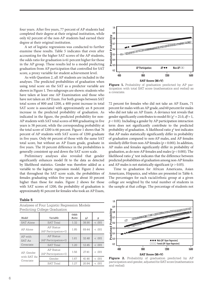four years. After five years, 77 percent of AP students had completed their degree at their original institution, while only 62 percent of the non-AP students had earned their degree at their original institution.

A set of logistic regressions was conducted to further examine these results. Table 5 indicates that even after accounting for the higher SAT scores of the AP students, the odds ratio for graduation is 61 percent higher for those in the AP group. These results led to a model predicting graduation from AP participation that controlled for SAT score, a proxy variable for student achievement level.

As with Question 2, all AP students are included in the analyses. The predicted probabilities of graduation when using total score on the SAT as a predictor variable are shown in Figure 1. Two subgroups are shown: students who have taken at least one AP Examination and those who have not taken an AP Exam. For both groups between SAT total scores of 800 and 1200, a 400-point increase in total SAT score is associated with approximately an 8 percent increase in the predicted probability of graduation. As indicated in the figure, the predicted probability for non-AP students with SAT total scores of 800 graduating in five years is 58 percent, while the corresponding probability at the total score of 1200 is 66 percent. Figure 1 shows that 76 percent of AP students with SAT scores of 1200 graduate in five years. Only 66 percent of those with the same SAT total score, but without an AP Exam grade, graduate in five years. The 10 percent difference in the probabilities is generally consistent up and down the SAT score scale.

Preliminary analyses also revealed that gender significantly enhances model fit to the data as detected by likelihood statistics. Gender was therefore added as a variable to the logistic regression model. Figure 2 shows that throughout the SAT score scale, the probabilities of females graduating within five years are about 10 percent higher than those for males. Figure 2 shows for those with SAT scores of 1200, the probability of graduation is approximately 81 percent for females who took an AP Exam,

#### **Table 5**

Analyses of Four Logistic Regression Models Predicting College Graduation





Figure 1. Probability of graduation predicted by AP participation with total SAT score (mathematics and verbal) as a covariate.

72 percent for females who did not take an AP Exam, 71 percent for males with an AP grade, and 60 percent for males who did not take an AP Exam. A deviance test reveals that gender significantly contributes to model fit ( $\chi^2 = 21.0$ ,  $df = 1$ , *p* < 0.01). Including a gender by AP participation interaction term does not significantly contribute to the predicted probability of graduation. A likelihood ratio *χ*<sup>2</sup> test indicates that AP males statistically significantly differ in probability of graduation compared to non-AP males, and AP females similarly differ from non-AP females (*p* < 0.001). In addition, AP males and females significantly differ in probability of graduation, as do non-AP females and males (*p* < 0.001). The likelihood ratio  $\chi^2$  test indicates that the difference between predicted probabilities of graduation among non-AP females and AP males is not statistically significant ( $p > 0.05$ ).

Time to graduation for African Americans, Asian Americans, Hispanics, and whites are presented in Table 6. The percentages for each racial/ethnic group at a given college are weighted by the total number of students in the sample at that college. The percentage of students not



**Figure 2.** Probability of graduation predicted by AP participation and gender, adjusted for SAT score (mathematics and verbal).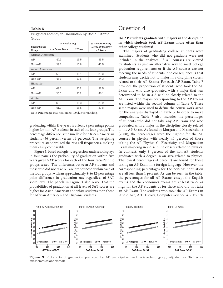#### **Table 6**

Weighted Latency to Graduation by Racial/Ethnic Group

|                        | % Graduating            |         | % Not Graduating                   |  |  |  |  |  |
|------------------------|-------------------------|---------|------------------------------------|--|--|--|--|--|
| Racial/Ethnic<br>Group | <b>4 or Fewer Years</b> | 5 Years | (Dropout/Transfer/<br>$> 5$ Years) |  |  |  |  |  |
| African American       |                         |         |                                    |  |  |  |  |  |
| AP                     | 47.9                    | 16.5    | 35.5                               |  |  |  |  |  |
| Non-AP                 | 39.7                    | 16.8    | 43.5                               |  |  |  |  |  |
| Asian American         |                         |         |                                    |  |  |  |  |  |
| AP                     | 58.8                    | 18.1    | 23.2                               |  |  |  |  |  |
| Non-AP                 | 46.1                    |         | 34.3                               |  |  |  |  |  |
| Hispanic               |                         |         |                                    |  |  |  |  |  |
| AP                     | 49.7                    | 17.8    | 32.5                               |  |  |  |  |  |
| Non-AP                 | 36.0                    | 17.8    | 46.1                               |  |  |  |  |  |
| White                  |                         |         |                                    |  |  |  |  |  |
| AP                     | 60.8                    | 15.3    | 23.9                               |  |  |  |  |  |
| Non-AP                 | 51.7                    | 15.5    | 32.8                               |  |  |  |  |  |

Note: Percentages may not sum to 100 due to rounding.

graduating within five years is at least 8 percentage points higher for non-AP students in each of the four groups. The percentage difference is the smallest for African American students (36 percent versus 44 percent). The weighting procedure standardized the raw cell frequencies, making them easily comparable.

Figure 3, based on logistic regression analyses, displays in four panels the probability of graduation within five years given SAT scores for each of the four racial/ethnic groups tested. The differences between AP students and those who did not take AP are pronounced within each of the four groups, with an approximately 8- to 12-percentage point difference in graduation rate regardless of SAT score level. The panels in Figure 3 also reveal that the probabilities of graduation at all levels of SAT scores are higher for Asian American and white students than those for African American and Hispanic students.

#### Question 4

#### **Do AP students graduate with majors in the discipline in which students took AP Exams more often than other college students?**

The majors of graduating college students were examined. Students who did not graduate were not included in the analyses. If AP courses are viewed by students as just an alternative way to meet college graduation requirements or if the AP courses are not meeting the needs of students, one consequence is that students may decide not to major in a discipline closely related to their AP Exams. For each AP Exam, Table 7 provides the proportion of students who took the AP Exam and who also graduated with a major that was determined to be in a discipline closely related to the AP Exam. The majors corresponding to the AP Exams are listed within the second column of Table 7. These same majors were used to define the course work areas for the analyses displayed in Table 3. In order to make comparisons, Table 7 also includes the percentages of students who did not take any AP Exam and who graduated with a major in the discipline closely related to the AP Exam. As found by Morgan and Maneckshana (2000), the percentages were the highest for the AP courses in physics with nearly 40 percent of those taking the AP Physics C: Electricity and Magnetism Exam majoring in a discipline closely related to physics. In contrast, only 8 percent of the non-AP students graduated with a degree in an area related to physics. The lowest percentages (4 percent) are found for those taking an AP Exam in a foreign language. However, the corresponding percentages for the non-AP population are all less than 1 percent. As can be seen in the table, the percentages for all AP Exams except the English exams and the economics exams are at least twice as high for the AP students as for those who did not take an AP Exam. The students who took the AP Exams in Studio Art, Art History, Computer Science AB, French



**Figure 3.** Probability of graduation predicted by AP participation and racial/ethnic group, adjusted for SAT score (mathematics and verbal).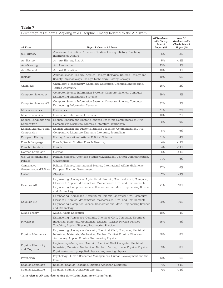#### **Table 7**

| AP Exam                                | <b>Majors Related to AP Exam</b>                                                                                                                                                                                                                | <b>AP</b> Graduates<br>with Closely<br>Related<br>Majors (%) | $Non-AP$<br><b>Graduates with</b><br><b>Closely Related</b><br>Majors (%) |
|----------------------------------------|-------------------------------------------------------------------------------------------------------------------------------------------------------------------------------------------------------------------------------------------------|--------------------------------------------------------------|---------------------------------------------------------------------------|
| U.S. History                           | American Civilization, American Studies, History, History Teaching,<br>International Affairs                                                                                                                                                    | 5%                                                           | 2%                                                                        |
| Art History                            | Art, Art History, Fine Art                                                                                                                                                                                                                      | 5%                                                           | $< 1\%$                                                                   |
| Art-Drawing                            | Art, Illustration                                                                                                                                                                                                                               | 13%                                                          | $1\%$                                                                     |
| Art-General                            | Art, Art Education                                                                                                                                                                                                                              | 18%                                                          | 1%                                                                        |
| Biology                                | Animal Science, Biology, Applied Biology, Biological Studies, Biology and<br>Society, Psychobiology, Biology Technology, Botany, Zoology                                                                                                        | 19%                                                          | 6%                                                                        |
| Chemistry                              | Chemistry, Biochemistry, Chemistry Education, Chemical Engineering,<br>Textile Chemistry                                                                                                                                                        | 15%                                                          | 2%                                                                        |
| Computer Science A                     | Computer Science Information Systems, Computer Science, Computer<br>Engineering, Information Systems                                                                                                                                            | 19%                                                          | 3%                                                                        |
| Computer Science AB                    | Computer Science Information Systems, Computer Science, Computer<br>Engineering, Information Systems                                                                                                                                            | 32%                                                          | 3%                                                                        |
| Microeconomics                         | Economics                                                                                                                                                                                                                                       | 11%                                                          | 7%                                                                        |
| Macroeconomics                         | Economics, International Business                                                                                                                                                                                                               | 10%                                                          | 7%                                                                        |
| English Language and<br>Composition    | English, English and Rhetoric, English Teaching, Communication Arts,<br>Comparative Literature, Dramatic Literature, Journalism                                                                                                                 | 8%                                                           | 6%                                                                        |
| English Literature and<br>Composition  | English, English and Rhetoric, English Teaching, Communication Arts,<br>Comparative Literature, Dramatic Literature, Journalism                                                                                                                 | 8%                                                           | 6%                                                                        |
| European History                       | History, International Affairs, Political Science                                                                                                                                                                                               | 11%                                                          | 4%                                                                        |
| French Language                        | French, French Studies, French Teaching                                                                                                                                                                                                         | 4%                                                           | $< 1\%$                                                                   |
| French Literature                      | French                                                                                                                                                                                                                                          | 4%                                                           | $< 1\%$                                                                   |
| German Language                        | German                                                                                                                                                                                                                                          | 6%                                                           | $< 1\%$                                                                   |
| U.S. Government and<br>Politics        | Political Science, American Studies (Civilization), Political Communication,<br>Government                                                                                                                                                      | 11%                                                          | 5%                                                                        |
| Comparative<br>Government and Politics | Political Science, International Studies, International Affairs (Relations),<br>European History, Government                                                                                                                                    | 17%                                                          | 6%                                                                        |
| Latin*                                 | Classics                                                                                                                                                                                                                                        | 7%                                                           | $<$ 1%                                                                    |
| Calculus AB                            | Engineering (Aerospace, Agricultural Ceramic, Chemical, Civil, Computer,<br>Electrical), Applied Mathematics (Mathematics), Civil and Environmental<br>Engineering, Computer Science, Economics and Math, Engineering Science<br>and Technology | 21%                                                          | 10%                                                                       |
| Calculus BC                            | Engineering (Aerospace, Agricultural Ceramic, Chemical, Civil, Computer,<br>Electrical), Applied Mathematics (Mathematics), Civil and Environmental<br>Engineering, Computer Science, Economics and Math, Engineering Science<br>and Technology | 30%                                                          | 10%                                                                       |
| Music Theory                           | Music, Music Education                                                                                                                                                                                                                          | 18%                                                          | $1\%$                                                                     |
| Physics: B                             | Engineering (Aerospace, Ceramic, Chemical, Civil, Computer, Electrical,<br>Industrial, Materials, Mechanical, Nuclear, Textile), Physics, Physics<br>Teaching, Applied Physics, Engineering Physics                                             | 26%                                                          | 8%                                                                        |
| Physics: Mechanics                     | Engineering (Aerospace, Ceramic, Chemical, Civil, Computer, Electrical,<br>Industrial, Materials, Mechanical, Nuclear, Textile), Physics, Physics-<br>Astronomy, Applied Physics, Engineering Physics                                           | 38%                                                          | 8%                                                                        |
| Physics: Electricity<br>and Magnetism  | Engineering (Aerospace, Ceramic, Chemical, Civil, Computer, Electrical,<br>Industrial, Materials, Mechanical, Nuclear, Textile), Honors Physics, Physics,<br>Physics-Astronomy, Applied Physics, Engineering Physics                            | 39%                                                          | 8%                                                                        |
| Psychology                             | Psychology, Human Resources Management, Human Development and the<br>Family                                                                                                                                                                     | 13%                                                          | 5%                                                                        |
| Spanish Language                       | Spanish, Spanish Teaching, Spanish American Literature                                                                                                                                                                                          | 4%                                                           | $< 1\%$                                                                   |
| Spanish Literature                     | Spanish, Spanish American Literature                                                                                                                                                                                                            | 4%                                                           | $< 1\%$                                                                   |

Percentage of Students Majoring in a Discipline Closely Related to the AP Exam

 $^\star$  Latin refers to AP candidates taking either Latin Literature or Latin: Vergil.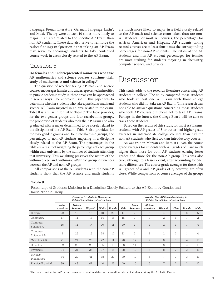Language, French Literature, German Language, Latin<sup>1</sup>, and Music Theory were at least 10 times more likely to major in an area related to the specific AP Exam than non-AP students. These data also serve to reinforce the earlier findings in Question 2 that taking an AP Exam may serve to encourage students to take continued course work in areas closely related to the AP Exam.

#### Question 5

#### **Do females and underrepresented minorities who take AP mathematics and science courses continue their study of mathematics and science in college?**

The question of whether taking AP math and science courses encourages females and underrepresented minorities to pursue academic study in these areas can be approached in several ways. The approach used in this paper was to determine whether students who take a particular math and science AP Exam majored in an area related to the exam. Table 8 is similar in format to Table 7. The table provides, for the two gender groups and four racial/ethnic groups, the proportion of students who took the AP Exam and also graduated with a major determined to be closely related to the discipline of the AP Exam. Table 8 also provides, for the two gender groups and four racial/ethnic groups, the percentages of non-AP students majoring in a discipline closely related to the AP Exam. The percentages in the table are a result of weighting the percentages of each group within each university by the number of students attending that university. This weighting preserves the nature of the within-college and within-racial/ethnic group differences between the AP and non-AP groups.

All comparisons of the AP students with the non-AP students show that the AP science and math students are much more likely to major in a field closely related to the AP math and science exam taken than are non-AP students. For most AP courses, the percentages for African American and Hispanic AP students taking related courses are at least four times the corresponding percentages for non-AP students. The ratios of the AP students and non-AP student percentages for females are most striking for students majoring in chemistry, computer science, and physics.

### Discussion

This study adds to the research literature concerning AP students in college. The study compared those students who took at least one AP Exam with those college students who did not take an AP Exam. This research was not able to answer questions concerning those students who took AP courses but chose not to take AP Exams. Perhaps in the future, the College Board will be able to track these students.

Based on the results of this study, for most AP Exams, students with AP grades of 3 or better had higher grade averages in intermediate college courses than did the non-AP students who first took an introductory course.

As was true in Morgan and Ramist (1998), the course grade averages for students with AP grades of 5 are much higher than those for both AP students earning lower grades and those for the non-AP group. This was also true, although to a lesser extent, after accounting for SAT score differences. The course grade averages for those with AP grades of 4 and AP grades of 3, however, are often close. While comparisons of course averages of the groups

#### **Table 8**

Percentage of Students Majoring in a Discipline Closely Related to the AP Exam by Gender and Racial/Ethnic Group

| racial penne arcap     |                                                                         |                     |          |       |        |                                                                             |                   |                     |                |                |                |                |
|------------------------|-------------------------------------------------------------------------|---------------------|----------|-------|--------|-----------------------------------------------------------------------------|-------------------|---------------------|----------------|----------------|----------------|----------------|
|                        | Percent of AP Students Majoring in<br>Related Math/Science Content Area |                     |          |       |        | Percent of Non-AP Students Majoring in<br>Related Math/Science Content Area |                   |                     |                |                |                |                |
|                        | Asian<br>American                                                       | African<br>American | Hispanic | White | Female | Male                                                                        | Asian<br>American | African<br>American | Hispanic       | White          | Female         | Male           |
| Biology                | 22                                                                      | 18                  | 16       | 18    | 20     | 17                                                                          | 7                 | 6                   | $\overline{4}$ | 5              | 6              | 5              |
| Chemistry              | 17                                                                      | 14                  | 13       | 14    | 15     | 15                                                                          | $\overline{2}$    | 2                   | $\overline{2}$ | $\mathbf{1}$   | 1              | 2              |
| Computer<br>Science A  | 15                                                                      | 14                  | 17       | 20    | 11     | 20                                                                          | 3                 | $\overline{2}$      | $\mathcal{D}$  | 3              | $\mathbf{1}$   | $\overline{4}$ |
| Computer<br>Science AB | 9                                                                       | 26                  | 15       | 28    | 12     | 33                                                                          | 3                 | 2                   | 2              | $\overline{2}$ | $\mathbf{1}$   | 4              |
| Calculus AB            | 2.1                                                                     | 2.1                 | 23       | 2.2.  | 11     | 28                                                                          | 12.               | 9                   | 8              | 8              | $\overline{4}$ | 13             |
| Calculus BC            | 32                                                                      | 28                  | 23       | 35    | 16     | 36                                                                          | 11                | 9                   | 6              | 8              | 4              | 13             |
| Physics B              | 24                                                                      | 31                  | 25       | 2.7   | 16     | 28                                                                          | 10                | 7                   | 8              | 7              | 3              | 11             |
| Physics<br>Mechanics   | 34                                                                      | 29                  | 41       | 38    | 22     | 40                                                                          | 10                | 6                   | 7              | $\overline{ }$ | 3              | 11             |
| Physics E and M        | 39                                                                      | 48                  | 47       | 40    | 25     | 40                                                                          | 10                | 6                   | 7              | 7              | $\overline{2}$ | 10             |

1 The data from the two AP Latin Exams were combined due to the small numbers of students taking the AP Latin Exams.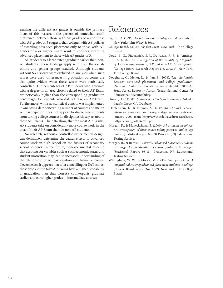earning the different AP grades is outside the primary focus of this research, the pattern of somewhat small differences between those with AP grades of 4 and those with AP grades of 3 suggests that colleges with AP policies of awarding advanced placement only to those with AP grades of 4 or higher might want to consider awarding advanced placement to those with AP grades of 3.

AP students to a large extent graduate earlier than non-AP students. These findings apply within all the racial/ ethnic and gender groups studied. Although students without SAT scores were excluded in analyses when such scores were used, differences in graduation outcomes are also quite evident when these scores were statistically controlled. The percentages of AP students who graduate with a degree in an area closely related to their AP Exam are noticeably higher than the corresponding graduation percentages for students who did not take an AP Exam. Furthermore, while no statistical control was implemented in analyzing data concerning number of courses and major, AP participation does not appear to discourage students from taking college courses in disciplines closely related to their AP Exams. The data show, that for most AP Exams, AP students take on considerably more course work in the area of their AP Exam than do non-AP students.

No research, without a controlled experimental design, can definitively determine the causal effects of advanced course work in high school on the futures of secondary school students. In the future, nonexperimental research that accounts for variables such as socioeconomic status and student motivation may lead to increased understanding of the relationship of AP participation and future outcomes. Nevertheless, it appears that after controlling for SAT scores, those who elect to take AP Exams have a higher probability of graduation than their non-AP counterparts, graduate earlier, and earn higher grades in intermediate courses.

### References

- Agresti, A. (1996). *An introduction to categorical data analysis*. New York: John Wiley & Sons.
- College Board. (2005). *AP fact sheet*. New York: The College Board.
- Dodd, B. G., Fitzpatrick, S. J., De Ayala, R. J., & Jennings, J. A. (2002). *An investigation of the validity of AP grades of 3 and a comparison of AP and non-AP student groups*. (College Board Research Report No. 2002-9). New York: The College Board.
- Dougherty, C., Mellor, L., & Jian, S. (2006). *The relationship between advanced placement and college graduation*. (National Center for Educational Accountability: 2005 AP Study Series, Report 1). Austin, Texas: National Center for Educational Accountability.
- Howell, D. C. (2002). *Statistical methods for psychology* (3rd ed.). Pacific Grove, CA: Duxbury.
- Klopfenstein, K., & Thomas, M. K. (2006). *The link between advanced placement and early college success*. Retrieved January 2007 from http://www.utdallas.edu/research/tsp/ pdfpapers/ap\_coll.060706.pdf.
- Morgan, R., & Maneckshana, B. (2000). *AP students in college: An investigation of their course taking patterns and college majors*. (Statistical Report 00-09). Princeton, NJ: Educational Testing Service.
- Morgan, R., & Ramist, L. (1998). *Advanced placement students in college: An investigation of course grades in 21 colleges*. (Statistical Report 98-13). Princeton, NJ: Educational Testing Service.
- Willingham, W. W., & Morris, M. (1986). *Four years later: A longitudinal study of advanced placement students in college*. (College Board Report No. 86-2). New York: The College Board.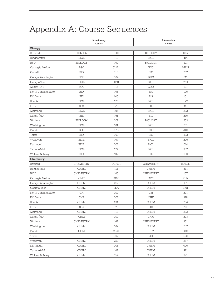# Appendix A: Course Sequences

|                      |                             | Introductory<br>Course | <b>Intermediate</b><br>Course |               |  |
|----------------------|-----------------------------|------------------------|-------------------------------|---------------|--|
| <b>Biology</b>       |                             |                        |                               |               |  |
| Barnard              | <b>BIOLOGY</b>              | 1001                   | <b>BIOLOGY</b>                | 1002          |  |
| Binghamton           | <b>BIOL</b>                 | 113                    | <b>BIOL</b>                   | 114           |  |
| <b>BYU</b>           | <b>BIOLOGY</b>              | 100                    | <b>BIOLOGY</b>                | 101           |  |
| Carnegie Mellon      | <b>BSC</b>                  | 03121                  | <b>BSC</b>                    | 03122         |  |
| Cornell              | <b>BIO</b>                  | 110                    | <b>BIO</b>                    | 207           |  |
| George Washington    | <b>BISC</b>                 | 004                    | <b>BISC</b>                   | 011           |  |
| Georgia Tech         | <b>BIOL</b>                 | 1110                   | <b>BIOL</b>                   | 1111          |  |
| Miami (OH)           | ZOO                         | 116                    | ZOO                           | 121           |  |
| North Carolina State | <b>BIO</b>                  | 105                    | <b>BIO</b>                    | 125           |  |
| <b>UC</b> Davis      | <b>BIS</b>                  | 010                    | <b>BIS</b>                    | 101           |  |
| Illinois             | <b>BIOL</b>                 | 120                    | <b>BIOL</b>                   | 122           |  |
| Iowa                 | 002                         | 21                     | 002                           | 22            |  |
| Maryland             | <b>BIOL</b>                 | 106                    | <b>BIOL</b>                   | 222           |  |
| Miami (FL)           | <b>BIL</b>                  | 161                    | BIL                           | 235           |  |
| Virginia             | <b>BIOLOGY</b>              | 201                    | <b>BIOLOGY</b>                | 203           |  |
| Washington           | <b>BIOL</b>                 | 101                    | <b>BIOL</b>                   | 201           |  |
| Florida              | <b>BSC</b>                  | 2010                   | <b>BSC</b>                    | 2011          |  |
| Texas                | <b>BIO</b>                  | 302                    | <b>BIO</b>                    | 303           |  |
| Wesleyan             | <b>BIOL</b>                 | 104                    | <b>BIOL</b>                   | 205           |  |
| Dartmouth            | <b>BIOL</b>                 | 002                    | <b>BIOL</b>                   | 014           |  |
| Texas A&M            | <b>BIOL</b>                 | 124                    | <b>BIOL</b>                   | 357           |  |
| William & Mary       | <b>BIO</b>                  | 102                    | <b>BIO</b>                    | 103           |  |
| Chemistry            |                             |                        |                               |               |  |
| Barnard              | <b>CHEMISTRY</b>            | <b>BC1601</b>          | <b>CHEMISTRY</b>              | <b>BC3230</b> |  |
| Binghamton           | <b>CHEM</b>                 | 111                    | <b>CHEM</b>                   | 231           |  |
| <b>BYU</b>           | <b>CHEMISTRY</b>            | 106                    | <b>CHEMISTRY</b>              | 107           |  |
| Carnegie Mellon      | <b>CMY</b>                  | 9106                   | <b>CMY</b>                    | 9117          |  |
| George Washington    | <b>CHEM</b>                 | 012                    | <b>CHEM</b>                   | 151           |  |
| Georgia Tech         | <b>CHEM</b>                 | 1100                   | <b>CHEM</b>                   | 1101          |  |
| North Carolina State | CH                          | 202                    | $\rm CH$                      | 221           |  |
| <b>UC</b> Davis      | <b>CHE</b>                  | 002                    | CHE                           | 118           |  |
| Illinois             | CHEM                        | 231                    | <b>CHEM</b>                   | 234           |  |
| Iowa                 | 004                         | $\overline{7}$         | 004                           | 13            |  |
| Maryland             | CHEM                        | 113                    | <b>CHEM</b>                   | 233           |  |
| Miami (FL)           | $\mathop{\rm CHM}\nolimits$ | 202                    | $\rm CHM$                     | 203           |  |
| Virginia             | CHEMISTRY                   | 142                    | CHEMISTRY                     | 151           |  |
| Washington           | <b>CHEM</b>                 | 162                    | <b>CHEM</b>                   | 237           |  |
| Florida              | CHM                         | 2041                   | <b>CHM</b>                    | 2046          |  |
| Texas                | CH                          | 302                    | $\operatorname{CH}$           | 304K          |  |
| Wesleyan             | CHEM                        | 252                    | CHEM                          | 257           |  |
| Dartmouth            | ${\rm CHEM}$                | 005                    | <b>CHEM</b>                   | 006           |  |
| Texas A&M            | ${\rm CHEM}$                | 102                    | CHEM                          | 111           |  |
| William & Mary       | ${\rm CHEM}$                | 354                    | CHEM                          | 391           |  |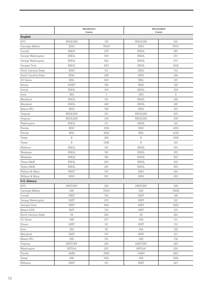| English<br><b>ENGLISH</b><br><b>BYU</b><br>115<br><b>ENGLISH</b><br>201<br><b>ENG</b><br>76100<br><b>ENG</b><br>Carnegie Mellon<br>76101<br><b>ENGL</b><br>270<br><b>ENGL</b><br>281<br>Cornell<br>George Washington<br>011<br><b>ENGL</b><br>010<br><b>ENGL</b><br><b>ENGL</b><br>052<br><b>ENGL</b><br>071<br>George Washington<br><b>ENGL</b><br>1001<br><b>ENGL</b><br>1002<br>Georgia Tech<br>North Carolina State<br><b>ENG</b><br>111<br><b>ENG</b><br>112<br><b>ENG</b><br>208<br><b>ENG</b><br>209<br>North Carolina State<br><b>ENL</b><br>003<br><b>ENL</b><br>101<br><b>UC</b> Davis<br><b>RHET</b><br>105<br><b>ENG</b><br>103<br>Illinois<br><b>ENGL</b><br>103<br><b>ENGL</b><br>104<br>Illinois<br>08G<br>$\mathbf{1}$<br>08G<br>9<br>Iowa<br>Maryland<br><b>ENGL</b><br>101<br><b>ENGL</b><br>205<br><b>ENGL</b><br>240<br><b>ENGL</b><br>241<br>Maryland<br><b>ENG</b><br>106<br><b>ENG</b><br>201<br>Miami (FL)<br><b>ENGLISH</b><br><b>ENGLISH</b><br>101<br>201<br>Virginia<br><b>ENGLISH</b><br>214<br><b>ENGLISH</b><br>230<br>Virginia<br><b>ENGL</b><br>121<br>111<br><b>ENGL</b><br>Washington<br><b>ENC</b><br>Florida<br>1102<br><b>ENC</b><br>2210<br>Florida<br><b>ENL</b><br>2022<br><b>ENL</b><br>2330<br>Ε<br>306<br>Ε<br>316K<br>Texas<br>Ε<br>316K<br>Ε<br>321<br>Texas<br><b>ENGL</b><br>101<br><b>ENGL</b><br>201<br>Williams<br><b>ENGL</b><br>181<br><b>ENGL</b><br>201<br>Wesleyan<br><b>ENGL</b><br>182<br><b>ENGL</b><br>203<br>Wesleyan<br>Texas A&M<br><b>ENGL</b><br>203<br><b>ENGL</b><br>210<br>Texas A&M<br><b>ENGL</b><br>241<br><b>ENGL</b><br>203<br>201<br>101<br><b>ENG</b><br>William & Mary<br>WRIT<br>William & Mary<br><b>ENG</b><br>201<br><b>ENG</b><br>203<br><b>U.S. History</b><br><b>HISTORY</b><br>202<br><b>HISTORY</b><br>300<br><b>BYU</b><br>Carnegie Mellon<br>$_{\rm HIS}$<br>79110<br>HIS<br>79202<br>${\rm HIST}$<br>152<br>${\rm HIST}$<br>190<br>Cornell<br>George Washington<br><b>HIST</b><br>072<br>${\rm HIST}$<br>101<br>Georgia Tech<br>${\rm HIST}$<br>${\rm HIST}$<br>1002<br>1001<br>Miami (OH)<br><b>HST</b><br>112<br>$\operatorname{HST}$<br>121<br>252<br>263<br>North Carolina State<br>H <sub>I</sub><br>H <sub>I</sub><br>$_{\rm HIS}$<br>017<br>HIS<br>111<br><b>UC</b> Davis<br><b>HIST</b><br><b>HIST</b><br>112<br>Illinois<br>111<br>16A<br>62<br>16A<br>122<br>Iowa<br>${\rm HIST}$<br>${\rm HIST}$<br>211<br>Maryland<br>157<br>132<br>Miami (FL)<br>HIS<br>131<br>HIS<br>Virginia<br><b>HISTORY</b><br>202<br>HISTORY<br>203<br>Washington<br><b>HSTAA</b><br>201<br><b>HSTAA</b><br>202<br>2020<br>3421<br>Florida<br>AMH<br>AMH<br>${\rm HIS}$<br>320L<br>Texas<br>$_{\rm HIS}$<br>315L<br>${\rm HIST}$<br>${\rm HIST}$<br>Williams<br>101<br>227 |  | Introductory<br>Course | <b>Intermediate</b><br>Course |  |  |  |
|-------------------------------------------------------------------------------------------------------------------------------------------------------------------------------------------------------------------------------------------------------------------------------------------------------------------------------------------------------------------------------------------------------------------------------------------------------------------------------------------------------------------------------------------------------------------------------------------------------------------------------------------------------------------------------------------------------------------------------------------------------------------------------------------------------------------------------------------------------------------------------------------------------------------------------------------------------------------------------------------------------------------------------------------------------------------------------------------------------------------------------------------------------------------------------------------------------------------------------------------------------------------------------------------------------------------------------------------------------------------------------------------------------------------------------------------------------------------------------------------------------------------------------------------------------------------------------------------------------------------------------------------------------------------------------------------------------------------------------------------------------------------------------------------------------------------------------------------------------------------------------------------------------------------------------------------------------------------------------------------------------------------------------------------------------------------------------------------------------------------------------------------------------------------------------------------------------------------------------------------------------------------------------------------------------------------------------------------------------------------------------------------------------------------------------------------------------------------------------------------------------------------------------------------------------------------------------------------------------------------------------------------------------------------------------------------------------------------------------------------------------|--|------------------------|-------------------------------|--|--|--|
|                                                                                                                                                                                                                                                                                                                                                                                                                                                                                                                                                                                                                                                                                                                                                                                                                                                                                                                                                                                                                                                                                                                                                                                                                                                                                                                                                                                                                                                                                                                                                                                                                                                                                                                                                                                                                                                                                                                                                                                                                                                                                                                                                                                                                                                                                                                                                                                                                                                                                                                                                                                                                                                                                                                                                       |  |                        |                               |  |  |  |
|                                                                                                                                                                                                                                                                                                                                                                                                                                                                                                                                                                                                                                                                                                                                                                                                                                                                                                                                                                                                                                                                                                                                                                                                                                                                                                                                                                                                                                                                                                                                                                                                                                                                                                                                                                                                                                                                                                                                                                                                                                                                                                                                                                                                                                                                                                                                                                                                                                                                                                                                                                                                                                                                                                                                                       |  |                        |                               |  |  |  |
|                                                                                                                                                                                                                                                                                                                                                                                                                                                                                                                                                                                                                                                                                                                                                                                                                                                                                                                                                                                                                                                                                                                                                                                                                                                                                                                                                                                                                                                                                                                                                                                                                                                                                                                                                                                                                                                                                                                                                                                                                                                                                                                                                                                                                                                                                                                                                                                                                                                                                                                                                                                                                                                                                                                                                       |  |                        |                               |  |  |  |
|                                                                                                                                                                                                                                                                                                                                                                                                                                                                                                                                                                                                                                                                                                                                                                                                                                                                                                                                                                                                                                                                                                                                                                                                                                                                                                                                                                                                                                                                                                                                                                                                                                                                                                                                                                                                                                                                                                                                                                                                                                                                                                                                                                                                                                                                                                                                                                                                                                                                                                                                                                                                                                                                                                                                                       |  |                        |                               |  |  |  |
|                                                                                                                                                                                                                                                                                                                                                                                                                                                                                                                                                                                                                                                                                                                                                                                                                                                                                                                                                                                                                                                                                                                                                                                                                                                                                                                                                                                                                                                                                                                                                                                                                                                                                                                                                                                                                                                                                                                                                                                                                                                                                                                                                                                                                                                                                                                                                                                                                                                                                                                                                                                                                                                                                                                                                       |  |                        |                               |  |  |  |
|                                                                                                                                                                                                                                                                                                                                                                                                                                                                                                                                                                                                                                                                                                                                                                                                                                                                                                                                                                                                                                                                                                                                                                                                                                                                                                                                                                                                                                                                                                                                                                                                                                                                                                                                                                                                                                                                                                                                                                                                                                                                                                                                                                                                                                                                                                                                                                                                                                                                                                                                                                                                                                                                                                                                                       |  |                        |                               |  |  |  |
|                                                                                                                                                                                                                                                                                                                                                                                                                                                                                                                                                                                                                                                                                                                                                                                                                                                                                                                                                                                                                                                                                                                                                                                                                                                                                                                                                                                                                                                                                                                                                                                                                                                                                                                                                                                                                                                                                                                                                                                                                                                                                                                                                                                                                                                                                                                                                                                                                                                                                                                                                                                                                                                                                                                                                       |  |                        |                               |  |  |  |
|                                                                                                                                                                                                                                                                                                                                                                                                                                                                                                                                                                                                                                                                                                                                                                                                                                                                                                                                                                                                                                                                                                                                                                                                                                                                                                                                                                                                                                                                                                                                                                                                                                                                                                                                                                                                                                                                                                                                                                                                                                                                                                                                                                                                                                                                                                                                                                                                                                                                                                                                                                                                                                                                                                                                                       |  |                        |                               |  |  |  |
|                                                                                                                                                                                                                                                                                                                                                                                                                                                                                                                                                                                                                                                                                                                                                                                                                                                                                                                                                                                                                                                                                                                                                                                                                                                                                                                                                                                                                                                                                                                                                                                                                                                                                                                                                                                                                                                                                                                                                                                                                                                                                                                                                                                                                                                                                                                                                                                                                                                                                                                                                                                                                                                                                                                                                       |  |                        |                               |  |  |  |
|                                                                                                                                                                                                                                                                                                                                                                                                                                                                                                                                                                                                                                                                                                                                                                                                                                                                                                                                                                                                                                                                                                                                                                                                                                                                                                                                                                                                                                                                                                                                                                                                                                                                                                                                                                                                                                                                                                                                                                                                                                                                                                                                                                                                                                                                                                                                                                                                                                                                                                                                                                                                                                                                                                                                                       |  |                        |                               |  |  |  |
|                                                                                                                                                                                                                                                                                                                                                                                                                                                                                                                                                                                                                                                                                                                                                                                                                                                                                                                                                                                                                                                                                                                                                                                                                                                                                                                                                                                                                                                                                                                                                                                                                                                                                                                                                                                                                                                                                                                                                                                                                                                                                                                                                                                                                                                                                                                                                                                                                                                                                                                                                                                                                                                                                                                                                       |  |                        |                               |  |  |  |
|                                                                                                                                                                                                                                                                                                                                                                                                                                                                                                                                                                                                                                                                                                                                                                                                                                                                                                                                                                                                                                                                                                                                                                                                                                                                                                                                                                                                                                                                                                                                                                                                                                                                                                                                                                                                                                                                                                                                                                                                                                                                                                                                                                                                                                                                                                                                                                                                                                                                                                                                                                                                                                                                                                                                                       |  |                        |                               |  |  |  |
|                                                                                                                                                                                                                                                                                                                                                                                                                                                                                                                                                                                                                                                                                                                                                                                                                                                                                                                                                                                                                                                                                                                                                                                                                                                                                                                                                                                                                                                                                                                                                                                                                                                                                                                                                                                                                                                                                                                                                                                                                                                                                                                                                                                                                                                                                                                                                                                                                                                                                                                                                                                                                                                                                                                                                       |  |                        |                               |  |  |  |
|                                                                                                                                                                                                                                                                                                                                                                                                                                                                                                                                                                                                                                                                                                                                                                                                                                                                                                                                                                                                                                                                                                                                                                                                                                                                                                                                                                                                                                                                                                                                                                                                                                                                                                                                                                                                                                                                                                                                                                                                                                                                                                                                                                                                                                                                                                                                                                                                                                                                                                                                                                                                                                                                                                                                                       |  |                        |                               |  |  |  |
|                                                                                                                                                                                                                                                                                                                                                                                                                                                                                                                                                                                                                                                                                                                                                                                                                                                                                                                                                                                                                                                                                                                                                                                                                                                                                                                                                                                                                                                                                                                                                                                                                                                                                                                                                                                                                                                                                                                                                                                                                                                                                                                                                                                                                                                                                                                                                                                                                                                                                                                                                                                                                                                                                                                                                       |  |                        |                               |  |  |  |
|                                                                                                                                                                                                                                                                                                                                                                                                                                                                                                                                                                                                                                                                                                                                                                                                                                                                                                                                                                                                                                                                                                                                                                                                                                                                                                                                                                                                                                                                                                                                                                                                                                                                                                                                                                                                                                                                                                                                                                                                                                                                                                                                                                                                                                                                                                                                                                                                                                                                                                                                                                                                                                                                                                                                                       |  |                        |                               |  |  |  |
|                                                                                                                                                                                                                                                                                                                                                                                                                                                                                                                                                                                                                                                                                                                                                                                                                                                                                                                                                                                                                                                                                                                                                                                                                                                                                                                                                                                                                                                                                                                                                                                                                                                                                                                                                                                                                                                                                                                                                                                                                                                                                                                                                                                                                                                                                                                                                                                                                                                                                                                                                                                                                                                                                                                                                       |  |                        |                               |  |  |  |
|                                                                                                                                                                                                                                                                                                                                                                                                                                                                                                                                                                                                                                                                                                                                                                                                                                                                                                                                                                                                                                                                                                                                                                                                                                                                                                                                                                                                                                                                                                                                                                                                                                                                                                                                                                                                                                                                                                                                                                                                                                                                                                                                                                                                                                                                                                                                                                                                                                                                                                                                                                                                                                                                                                                                                       |  |                        |                               |  |  |  |
|                                                                                                                                                                                                                                                                                                                                                                                                                                                                                                                                                                                                                                                                                                                                                                                                                                                                                                                                                                                                                                                                                                                                                                                                                                                                                                                                                                                                                                                                                                                                                                                                                                                                                                                                                                                                                                                                                                                                                                                                                                                                                                                                                                                                                                                                                                                                                                                                                                                                                                                                                                                                                                                                                                                                                       |  |                        |                               |  |  |  |
|                                                                                                                                                                                                                                                                                                                                                                                                                                                                                                                                                                                                                                                                                                                                                                                                                                                                                                                                                                                                                                                                                                                                                                                                                                                                                                                                                                                                                                                                                                                                                                                                                                                                                                                                                                                                                                                                                                                                                                                                                                                                                                                                                                                                                                                                                                                                                                                                                                                                                                                                                                                                                                                                                                                                                       |  |                        |                               |  |  |  |
|                                                                                                                                                                                                                                                                                                                                                                                                                                                                                                                                                                                                                                                                                                                                                                                                                                                                                                                                                                                                                                                                                                                                                                                                                                                                                                                                                                                                                                                                                                                                                                                                                                                                                                                                                                                                                                                                                                                                                                                                                                                                                                                                                                                                                                                                                                                                                                                                                                                                                                                                                                                                                                                                                                                                                       |  |                        |                               |  |  |  |
|                                                                                                                                                                                                                                                                                                                                                                                                                                                                                                                                                                                                                                                                                                                                                                                                                                                                                                                                                                                                                                                                                                                                                                                                                                                                                                                                                                                                                                                                                                                                                                                                                                                                                                                                                                                                                                                                                                                                                                                                                                                                                                                                                                                                                                                                                                                                                                                                                                                                                                                                                                                                                                                                                                                                                       |  |                        |                               |  |  |  |
|                                                                                                                                                                                                                                                                                                                                                                                                                                                                                                                                                                                                                                                                                                                                                                                                                                                                                                                                                                                                                                                                                                                                                                                                                                                                                                                                                                                                                                                                                                                                                                                                                                                                                                                                                                                                                                                                                                                                                                                                                                                                                                                                                                                                                                                                                                                                                                                                                                                                                                                                                                                                                                                                                                                                                       |  |                        |                               |  |  |  |
|                                                                                                                                                                                                                                                                                                                                                                                                                                                                                                                                                                                                                                                                                                                                                                                                                                                                                                                                                                                                                                                                                                                                                                                                                                                                                                                                                                                                                                                                                                                                                                                                                                                                                                                                                                                                                                                                                                                                                                                                                                                                                                                                                                                                                                                                                                                                                                                                                                                                                                                                                                                                                                                                                                                                                       |  |                        |                               |  |  |  |
|                                                                                                                                                                                                                                                                                                                                                                                                                                                                                                                                                                                                                                                                                                                                                                                                                                                                                                                                                                                                                                                                                                                                                                                                                                                                                                                                                                                                                                                                                                                                                                                                                                                                                                                                                                                                                                                                                                                                                                                                                                                                                                                                                                                                                                                                                                                                                                                                                                                                                                                                                                                                                                                                                                                                                       |  |                        |                               |  |  |  |
|                                                                                                                                                                                                                                                                                                                                                                                                                                                                                                                                                                                                                                                                                                                                                                                                                                                                                                                                                                                                                                                                                                                                                                                                                                                                                                                                                                                                                                                                                                                                                                                                                                                                                                                                                                                                                                                                                                                                                                                                                                                                                                                                                                                                                                                                                                                                                                                                                                                                                                                                                                                                                                                                                                                                                       |  |                        |                               |  |  |  |
|                                                                                                                                                                                                                                                                                                                                                                                                                                                                                                                                                                                                                                                                                                                                                                                                                                                                                                                                                                                                                                                                                                                                                                                                                                                                                                                                                                                                                                                                                                                                                                                                                                                                                                                                                                                                                                                                                                                                                                                                                                                                                                                                                                                                                                                                                                                                                                                                                                                                                                                                                                                                                                                                                                                                                       |  |                        |                               |  |  |  |
|                                                                                                                                                                                                                                                                                                                                                                                                                                                                                                                                                                                                                                                                                                                                                                                                                                                                                                                                                                                                                                                                                                                                                                                                                                                                                                                                                                                                                                                                                                                                                                                                                                                                                                                                                                                                                                                                                                                                                                                                                                                                                                                                                                                                                                                                                                                                                                                                                                                                                                                                                                                                                                                                                                                                                       |  |                        |                               |  |  |  |
|                                                                                                                                                                                                                                                                                                                                                                                                                                                                                                                                                                                                                                                                                                                                                                                                                                                                                                                                                                                                                                                                                                                                                                                                                                                                                                                                                                                                                                                                                                                                                                                                                                                                                                                                                                                                                                                                                                                                                                                                                                                                                                                                                                                                                                                                                                                                                                                                                                                                                                                                                                                                                                                                                                                                                       |  |                        |                               |  |  |  |
|                                                                                                                                                                                                                                                                                                                                                                                                                                                                                                                                                                                                                                                                                                                                                                                                                                                                                                                                                                                                                                                                                                                                                                                                                                                                                                                                                                                                                                                                                                                                                                                                                                                                                                                                                                                                                                                                                                                                                                                                                                                                                                                                                                                                                                                                                                                                                                                                                                                                                                                                                                                                                                                                                                                                                       |  |                        |                               |  |  |  |
|                                                                                                                                                                                                                                                                                                                                                                                                                                                                                                                                                                                                                                                                                                                                                                                                                                                                                                                                                                                                                                                                                                                                                                                                                                                                                                                                                                                                                                                                                                                                                                                                                                                                                                                                                                                                                                                                                                                                                                                                                                                                                                                                                                                                                                                                                                                                                                                                                                                                                                                                                                                                                                                                                                                                                       |  |                        |                               |  |  |  |
|                                                                                                                                                                                                                                                                                                                                                                                                                                                                                                                                                                                                                                                                                                                                                                                                                                                                                                                                                                                                                                                                                                                                                                                                                                                                                                                                                                                                                                                                                                                                                                                                                                                                                                                                                                                                                                                                                                                                                                                                                                                                                                                                                                                                                                                                                                                                                                                                                                                                                                                                                                                                                                                                                                                                                       |  |                        |                               |  |  |  |
|                                                                                                                                                                                                                                                                                                                                                                                                                                                                                                                                                                                                                                                                                                                                                                                                                                                                                                                                                                                                                                                                                                                                                                                                                                                                                                                                                                                                                                                                                                                                                                                                                                                                                                                                                                                                                                                                                                                                                                                                                                                                                                                                                                                                                                                                                                                                                                                                                                                                                                                                                                                                                                                                                                                                                       |  |                        |                               |  |  |  |
|                                                                                                                                                                                                                                                                                                                                                                                                                                                                                                                                                                                                                                                                                                                                                                                                                                                                                                                                                                                                                                                                                                                                                                                                                                                                                                                                                                                                                                                                                                                                                                                                                                                                                                                                                                                                                                                                                                                                                                                                                                                                                                                                                                                                                                                                                                                                                                                                                                                                                                                                                                                                                                                                                                                                                       |  |                        |                               |  |  |  |
|                                                                                                                                                                                                                                                                                                                                                                                                                                                                                                                                                                                                                                                                                                                                                                                                                                                                                                                                                                                                                                                                                                                                                                                                                                                                                                                                                                                                                                                                                                                                                                                                                                                                                                                                                                                                                                                                                                                                                                                                                                                                                                                                                                                                                                                                                                                                                                                                                                                                                                                                                                                                                                                                                                                                                       |  |                        |                               |  |  |  |
|                                                                                                                                                                                                                                                                                                                                                                                                                                                                                                                                                                                                                                                                                                                                                                                                                                                                                                                                                                                                                                                                                                                                                                                                                                                                                                                                                                                                                                                                                                                                                                                                                                                                                                                                                                                                                                                                                                                                                                                                                                                                                                                                                                                                                                                                                                                                                                                                                                                                                                                                                                                                                                                                                                                                                       |  |                        |                               |  |  |  |
|                                                                                                                                                                                                                                                                                                                                                                                                                                                                                                                                                                                                                                                                                                                                                                                                                                                                                                                                                                                                                                                                                                                                                                                                                                                                                                                                                                                                                                                                                                                                                                                                                                                                                                                                                                                                                                                                                                                                                                                                                                                                                                                                                                                                                                                                                                                                                                                                                                                                                                                                                                                                                                                                                                                                                       |  |                        |                               |  |  |  |
|                                                                                                                                                                                                                                                                                                                                                                                                                                                                                                                                                                                                                                                                                                                                                                                                                                                                                                                                                                                                                                                                                                                                                                                                                                                                                                                                                                                                                                                                                                                                                                                                                                                                                                                                                                                                                                                                                                                                                                                                                                                                                                                                                                                                                                                                                                                                                                                                                                                                                                                                                                                                                                                                                                                                                       |  |                        |                               |  |  |  |
|                                                                                                                                                                                                                                                                                                                                                                                                                                                                                                                                                                                                                                                                                                                                                                                                                                                                                                                                                                                                                                                                                                                                                                                                                                                                                                                                                                                                                                                                                                                                                                                                                                                                                                                                                                                                                                                                                                                                                                                                                                                                                                                                                                                                                                                                                                                                                                                                                                                                                                                                                                                                                                                                                                                                                       |  |                        |                               |  |  |  |
|                                                                                                                                                                                                                                                                                                                                                                                                                                                                                                                                                                                                                                                                                                                                                                                                                                                                                                                                                                                                                                                                                                                                                                                                                                                                                                                                                                                                                                                                                                                                                                                                                                                                                                                                                                                                                                                                                                                                                                                                                                                                                                                                                                                                                                                                                                                                                                                                                                                                                                                                                                                                                                                                                                                                                       |  |                        |                               |  |  |  |
|                                                                                                                                                                                                                                                                                                                                                                                                                                                                                                                                                                                                                                                                                                                                                                                                                                                                                                                                                                                                                                                                                                                                                                                                                                                                                                                                                                                                                                                                                                                                                                                                                                                                                                                                                                                                                                                                                                                                                                                                                                                                                                                                                                                                                                                                                                                                                                                                                                                                                                                                                                                                                                                                                                                                                       |  |                        |                               |  |  |  |
|                                                                                                                                                                                                                                                                                                                                                                                                                                                                                                                                                                                                                                                                                                                                                                                                                                                                                                                                                                                                                                                                                                                                                                                                                                                                                                                                                                                                                                                                                                                                                                                                                                                                                                                                                                                                                                                                                                                                                                                                                                                                                                                                                                                                                                                                                                                                                                                                                                                                                                                                                                                                                                                                                                                                                       |  |                        |                               |  |  |  |
|                                                                                                                                                                                                                                                                                                                                                                                                                                                                                                                                                                                                                                                                                                                                                                                                                                                                                                                                                                                                                                                                                                                                                                                                                                                                                                                                                                                                                                                                                                                                                                                                                                                                                                                                                                                                                                                                                                                                                                                                                                                                                                                                                                                                                                                                                                                                                                                                                                                                                                                                                                                                                                                                                                                                                       |  |                        |                               |  |  |  |
|                                                                                                                                                                                                                                                                                                                                                                                                                                                                                                                                                                                                                                                                                                                                                                                                                                                                                                                                                                                                                                                                                                                                                                                                                                                                                                                                                                                                                                                                                                                                                                                                                                                                                                                                                                                                                                                                                                                                                                                                                                                                                                                                                                                                                                                                                                                                                                                                                                                                                                                                                                                                                                                                                                                                                       |  |                        |                               |  |  |  |
|                                                                                                                                                                                                                                                                                                                                                                                                                                                                                                                                                                                                                                                                                                                                                                                                                                                                                                                                                                                                                                                                                                                                                                                                                                                                                                                                                                                                                                                                                                                                                                                                                                                                                                                                                                                                                                                                                                                                                                                                                                                                                                                                                                                                                                                                                                                                                                                                                                                                                                                                                                                                                                                                                                                                                       |  |                        |                               |  |  |  |
|                                                                                                                                                                                                                                                                                                                                                                                                                                                                                                                                                                                                                                                                                                                                                                                                                                                                                                                                                                                                                                                                                                                                                                                                                                                                                                                                                                                                                                                                                                                                                                                                                                                                                                                                                                                                                                                                                                                                                                                                                                                                                                                                                                                                                                                                                                                                                                                                                                                                                                                                                                                                                                                                                                                                                       |  |                        |                               |  |  |  |
|                                                                                                                                                                                                                                                                                                                                                                                                                                                                                                                                                                                                                                                                                                                                                                                                                                                                                                                                                                                                                                                                                                                                                                                                                                                                                                                                                                                                                                                                                                                                                                                                                                                                                                                                                                                                                                                                                                                                                                                                                                                                                                                                                                                                                                                                                                                                                                                                                                                                                                                                                                                                                                                                                                                                                       |  |                        |                               |  |  |  |
|                                                                                                                                                                                                                                                                                                                                                                                                                                                                                                                                                                                                                                                                                                                                                                                                                                                                                                                                                                                                                                                                                                                                                                                                                                                                                                                                                                                                                                                                                                                                                                                                                                                                                                                                                                                                                                                                                                                                                                                                                                                                                                                                                                                                                                                                                                                                                                                                                                                                                                                                                                                                                                                                                                                                                       |  |                        |                               |  |  |  |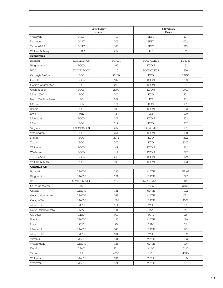|                      | Introductory<br>Course |                | <b>Intermediate</b><br>Course |               |  |
|----------------------|------------------------|----------------|-------------------------------|---------------|--|
| Wesleyan             | <b>HIST</b>            | 110            | <b>HIST</b>                   | 201           |  |
| Dartmouth            | <b>HIST</b>            | 001            | <b>HIST</b>                   | 002           |  |
| Texas A&M            | <b>HIST</b>            | 106            | <b>HIST</b>                   | 213           |  |
| William & Mary       | <b>HIST</b>            | 202            | HIST                          | 211           |  |
| <b>Economics</b>     |                        |                |                               |               |  |
| Barnard              | <b>ECONOMICS</b>       | <b>BC1001</b>  | <b>ECONOMICS</b>              | <b>BC3033</b> |  |
| Binghamton           | <b>ECON</b>            | 160            | <b>ECON</b>                   | 162           |  |
| <b>BYU</b>           | <b>ECONOMICS</b>       | 110            | <b>ECONOMICS</b>              | 230           |  |
| Carnegie Mellon      | <b>ECO</b>             | 73100          | <b>ECO</b>                    | 73250         |  |
| Cornell              | <b>ECON</b>            | 102            | <b>ECON</b>                   | 103           |  |
| George Washington    | <b>ECON</b>            | 012            | <b>ECON</b>                   | 121           |  |
| Georgia Tech         | <b>ECON</b>            | 2000           | <b>ECON</b>                   | 2001          |  |
| Miami (OH)           | <b>ECO</b>             | 202            | ECO                           | 201           |  |
| North Carolina State | EC                     | 202            | EC                            | 301           |  |
| <b>UC</b> Davis      | <b>ECN</b>             | 001            | <b>ECN</b>                    | 101           |  |
| Illinois             | <b>ECON</b>            | 103            | <b>ECON</b>                   | 102           |  |
| Iowa                 | 06E                    | $\overline{2}$ | 06E                           | 100           |  |
| Maryland             | <b>ECON</b>            | 201            | <b>ECON</b>                   | 203           |  |
| Miami                | <b>ECO</b>             | 212            | ECO                           | 302           |  |
| Virginia             | <b>ECONOMICS</b>       | 202            | <b>ECONOMICS</b>              | 301           |  |
| Washington           | <b>ECON</b>            | 201            | <b>ECON</b>                   | 300           |  |
| Florida              | <b>ECO</b>             | 2013           | ECO                           | 202           |  |
| Texas                | <b>ECO</b>             | 302            | ECO                           | 320L          |  |
| Williams             | <b>ECON</b>            | 101            | <b>ECON</b>                   | 252           |  |
| Wesleyan             | <b>ECON</b>            | 111            | <b>ECON</b>                   | 272           |  |
| Texas A&M            | <b>ECON</b>            | 203            | <b>ECON</b>                   | 322           |  |
| William & Mary       | <b>ECON</b>            | 102            | <b>ECON</b>                   | 303           |  |
| <b>Calculus AB</b>   |                        |                |                               |               |  |
| Barnard              | <b>MATH</b>            | V1101          | <b>MATH</b>                   | V1102         |  |
| Binghamton           | <b>MATH</b>            | 221            | <b>MATH</b>                   | 222           |  |
| <b>BYU</b>           | <b>MATHEMATIC</b>      | 112            | <b>MATHEMATIC</b>             | 113           |  |
| Carnegie Mellon      | <b>MSC</b>             | 21121          | <b>MSC</b>                    | 21122         |  |
| Cornell              | MATH                   | 121            | <b>MATH</b>                   | 122           |  |
| George Washington    | MATH                   | 031            | MATH                          | 032           |  |
| Georgia Tech         | MATH                   | 1507           | <b>MATH</b>                   | 1508          |  |
| Miami (OH)           | <b>MTH</b>             | 151            | <b>MTH</b>                    | 251           |  |
| North Carolina State | МA                     | 141            | MA                            | 241           |  |
| UC Davis             | MAT                    | 012            | MAT                           | 016           |  |
| Illinois             | MATH                   | 120            | MATH                          | 130           |  |
| Iowa                 | 22M                    | 25             | 22M                           | 26            |  |
| Maryland             | MATH                   | 140            | <b>MATH</b>                   | 141           |  |
| Miami (FL)           | MTH                    | 131            | <b>MTH</b>                    | 132           |  |
| Virginia             | <b>MATH</b>            | 131            | <b>MATH</b>                   | 132           |  |
| Washington           | MATH                   | 125            | <b>MATH</b>                   | 126           |  |
| Florida              | MAC                    | 2311           | MAC                           | 2312          |  |
| Texas                | $\mathbf M$            | 408C           | $\mathbb M$                   | 408D          |  |
| Williams             | MATH                   | 104            | <b>MATH</b>                   | 105           |  |
| Wesleyan             | MATH                   | 121            | MATH                          | 221           |  |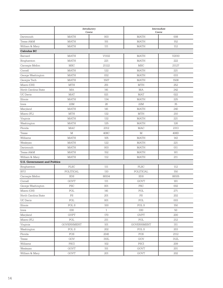|                                     | Introductory<br>Course                                |              | <b>Intermediate</b><br>Course |       |  |
|-------------------------------------|-------------------------------------------------------|--------------|-------------------------------|-------|--|
| Dartmouth                           | <b>MATH</b>                                           | 003          | <b>MATH</b>                   | 008   |  |
| Texas A&M                           | <b>MATH</b>                                           | 151          | <b>MATH</b>                   | 152   |  |
| William & Mary                      | <b>MATH</b>                                           | 111          | <b>MATH</b>                   | 112   |  |
| <b>Calculus BC</b>                  |                                                       |              |                               |       |  |
| Barnard                             | <b>MATH</b>                                           | V1102        | <b>MATH</b>                   | V2010 |  |
| Binghamton                          | <b>MATH</b>                                           | 221          | <b>MATH</b>                   | 222   |  |
| Carnegie Mellon                     | <b>MSC</b>                                            | 21122        | <b>MSC</b>                    | 21127 |  |
| Cornell                             | <b>MATH</b>                                           | 122          | <b>MATH</b>                   | 221   |  |
| George Washington                   | <b>MATH</b>                                           | 032          | <b>MATH</b>                   | 033   |  |
| Georgia Tech                        | <b>MATH</b>                                           | 1507         | <b>MATH</b>                   | 1508  |  |
| Miami (OH)                          | <b>MTH</b>                                            | 251          | <b>MTH</b>                    | 252   |  |
| North Carolina State                | MA                                                    | 141          | MA                            | 242   |  |
| <b>UC</b> Davis                     | <b>MAT</b>                                            | 021          | <b>MAT</b>                    | 022   |  |
| Illinois                            | <b>MATH</b>                                           | 134          | <b>MATH</b>                   | 225   |  |
| Iowa                                | 22M                                                   | 26           | 22M                           | 35    |  |
| Maryland                            | <b>MATH</b>                                           | 141          | <b>MATH</b>                   | 240   |  |
| Miami (FL)                          | <b>MTH</b>                                            | 132          | <b>MTH</b>                    | 210   |  |
| Virginia                            | <b>MATH</b>                                           | 132          | <b>MATH</b>                   | 221   |  |
| Washington                          | <b>MATH</b>                                           | 125          | <b>MATH</b>                   | 126   |  |
| Florida                             | <b>MAC</b>                                            | 2312         | MAC                           | 2313  |  |
| Texas                               | $\mathbf{M}% _{T}=\mathbf{M}_{T}\times\mathbf{M}_{T}$ | 408C         | М                             | 408D  |  |
| Williams                            | <b>MATH</b>                                           | 105          | <b>MATH</b>                   | 143   |  |
| Wesleyan                            | <b>MATH</b>                                           | 122          | <b>MATH</b>                   | 221   |  |
| Dartmouth                           | <b>MATH</b>                                           | 003          | <b>MATH</b>                   | 011   |  |
| Texas A&M                           | <b>MATH</b>                                           | 152          | <b>MATH</b>                   | 161   |  |
| William & Mary                      | <b>MATH</b>                                           | 112          | <b>MATH</b>                   | 211   |  |
| <b>U.S. Government and Politics</b> |                                                       |              |                               |       |  |
| Binghamton                          | PLSC                                                  | 111          | <b>PLSC</b>                   | 112   |  |
| <b>BYU</b>                          | POLITICAL                                             | 110          | POLITICAL                     | 150   |  |
| Carnegie Mellon                     | <b>SDS</b>                                            | 88104        | <b>SDS</b>                    | 88105 |  |
| Cornell                             | <b>GOVT</b>                                           | 111          | <b>GOVT</b>                   | 161   |  |
| George Washington                   | PSC                                                   | 001          | <b>PSC</b>                    | 002   |  |
| Miami (OH)                          | POL                                                   | 141          | POL                           | 271   |  |
| North Carolina State                | PS                                                    | 201          | $\mathop{\mathrm{PS}}$        | 202   |  |
| <b>UC</b> Davis                     | POL                                                   | 001          | POL                           | 003   |  |
| Illinois                            | POL S                                                 | 100          | POL S                         | 150   |  |
| Iowa                                | 030                                                   | $\mathbf{1}$ | 030                           | 50    |  |
| Maryland                            | <b>GVPT</b>                                           | 170          | <b>GVPT</b>                   | 200   |  |
| Miami (FL)                          | POL                                                   | 211          | POL                           | 212   |  |
| Virginia                            | <b>GOVERNMENT</b>                                     | 101          | <b>GOVERNMENT</b>             | 311   |  |
| Washington                          | POL S                                                 | 202          | $\operatorname{POL}$ S        | 203   |  |
| Florida                             | POS                                                   | 2041         | POS                           | 2112  |  |
| Texas                               | GOV                                                   | 310L         | $\rm GOV$                     | 312L  |  |
| Williams                            | $\operatorname{PSCI}$                                 | 102          | $\operatorname{PSCI}$         | 209   |  |
| Wesleyan                            | GOVT                                                  | 151          | GOVT                          | 201   |  |
| William & Mary                      | GOVT                                                  | 201          | GOVT                          | 202   |  |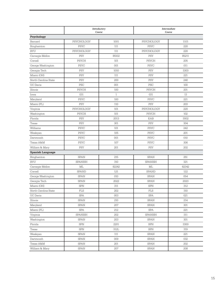|                         | Introductory<br>Course |              | <b>Intermediate</b><br>Course |       |  |
|-------------------------|------------------------|--------------|-------------------------------|-------|--|
| Psychology              |                        |              |                               |       |  |
| Barnard                 | PSYCHOLOGY             | 1001         | PSYCHOLOGY                    | 1101  |  |
| Binghamton              | <b>PSYC</b>            | 111          | <b>PSYC</b>                   | 220   |  |
| <b>BYU</b>              | PSYCHOLOGY             | 111          | PSYCHOLOGY                    | 220   |  |
| Carnegie Mellon         | PSY                    | 85102        | <b>PSY</b>                    | 85211 |  |
| Cornell                 | <b>PSYCH</b>           | 101          | <b>PSYCH</b>                  | 205   |  |
| George Washington       | <b>PSYC</b>            | 001          | <b>PSYC</b>                   | 011   |  |
| Georgia Tech            | <b>PSY</b>             | 1010         | <b>PSY</b>                    | 3303  |  |
| Miami (OH)              | <b>PSY</b>             | 111          | <b>PSY</b>                    | 221   |  |
| North Carolina State    | PSY                    | 200          | <b>PSY</b>                    | 240   |  |
| <b>UC</b> Davis         | <b>PSC</b>             | 001          | <b>PSC</b>                    | 100   |  |
| Illinois                | <b>PSYCH</b>           | 100          | <b>PSYCH</b>                  | 201   |  |
| Iowa                    | 031                    | $\mathbf{1}$ | 031                           | 13    |  |
| Maryland                | <b>PSYC</b>            | 100          | <b>PSYC</b>                   | 221   |  |
| Miami (FL)              | <b>PSY</b>             | 110          | <b>PSY</b>                    | 203   |  |
| Virginia                | PSYCHOLOGY             | 101          | PSYCHOLOGY                    | 220   |  |
| Washington              | <b>PSYCH</b>           | 101          | <b>PSYCH</b>                  | 102   |  |
| Florida                 | <b>PSY</b>             | 2013         | EAB                           | 3002  |  |
| Texas                   | <b>PSY</b>             | 301          | <b>PSY</b>                    | 304   |  |
| Williams                | <b>PSYC</b>            | 101          | <b>PSYC</b>                   | 242   |  |
| Wesleyan                | <b>PSYC</b>            | 105          | <b>PSYC</b>                   | 201   |  |
| Dartmouth               | <b>PSYC</b>            | 001          | <b>PSYC</b>                   | 010   |  |
| Texas A&M               | <b>PSYC</b>            | 107          | <b>PSYC</b>                   | 306   |  |
| William & Mary          | PSY                    | 201          | <b>PSY</b>                    | 202   |  |
| <b>Spanish Language</b> |                        |              |                               |       |  |
| Binghamton              | <b>SPAN</b>            | 215          | <b>SPAN</b>                   | 251   |  |
| <b>BYU</b>              | <b>SPANISH</b>         | 310          | <b>SPANISH</b>                | 321   |  |
| Carnegie Mellon         | ML                     | 82242        | ML                            | 82342 |  |
| Cornell                 | <b>SPAND</b>           | 121          | <b>SPAND</b>                  | 122   |  |
| George Washington       | <b>SPAN</b>            | 010          | <b>SPAN</b>                   | 054   |  |
| Georgia Tech            | <b>SPAN</b>            | 2022         | <b>SPAN</b>                   | 2023  |  |
| Miami (OH)              | <b>SPN</b>             | 311          | <b>SPN</b>                    | 312   |  |
| North Carolina State    | ${\rm FLS}$            | 202          | ${\rm FLS}$                   | 310   |  |
| <b>UC</b> Davis         | $\operatorname{SPA}$   | 003          | $\operatorname{SPA}$          | 021   |  |
| Illinois                | <b>SPAN</b>            | 210          | SPAN                          | 214   |  |
| Maryland                | <b>SPAN</b>            | 207          | <b>SPAN</b>                   | 301   |  |
| Miami (FL)              | <b>SPA</b>             | 212          | SPA                           | 221   |  |
| Virginia                | <b>SPANISH</b>         | 202          | <b>SPANISH</b>                | 311   |  |
| Washington              | SPAN                   | 203          | SPAN                          | 301   |  |
| Florida                 | SPN                    | 2201         | SPN                           | 3300  |  |
| Texas                   | ${\rm SPN}$            | 312L         | ${\rm SPN}$                   | 319   |  |
| Wesleyan                | <b>SPAN</b>            | 111          | <b>SPAN</b>                   | 221   |  |
| Dartmouth               | SPAN                   | 009          | SPAN                          | 032   |  |
| Texas A&M               | ${\rm SPAN}$           | 201          | ${\rm SPAN}$                  | 202   |  |
| William & Mary          | <b>SPAN</b>            | 207          | <b>SPAN</b><br>208            |       |  |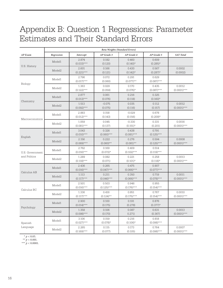## Appendix B: Question 1 Regressions: Parameter Estimates and Their Standard Errors

|                                 | <b>Beta Weights (Standard Errors)</b> |                        |                        |                         |                        |                          |
|---------------------------------|---------------------------------------|------------------------|------------------------|-------------------------|------------------------|--------------------------|
| <b>AP</b> Exam                  | Regression                            | <b>Intercept</b>       | AP Grade 3             | AP Grade 4              | AP Grade 5             | <b>SAT Total</b>         |
| U.S. History                    | Model1                                | 2.874<br>$(0.033)$ *** | 0.182<br>(0.120)       | 0.460<br>$(0.140)*$     | 0.609<br>$(0.285)^*$   |                          |
|                                 | Model <sub>2</sub>                    | 2.601<br>$(0.221)$ *** | 0.166<br>(0.121)       | 0.430<br>$(0.142)^*$    | 0.567<br>$(0.287)$ *   | 0.0002<br>(0.0002)       |
| Biology                         | Model1                                | 2.796<br>$(0.017)$ *** | 0.072<br>(0.060)       | 0.291<br>$(0.077)$ **   | 0.629<br>$(0.087)$ *** |                          |
|                                 | Model <sub>2</sub>                    | 1.363<br>$(0.122)$ *** | 0.029<br>(0.059)       | 0.170<br>$(0.076)$ *    | 0.435<br>$(0.087)$ *** | 0.0012<br>$(0.0001)$ *** |
| Chemistry                       | Model1                                | 2.877<br>$(0.013)$ *** | 0.061<br>(0.076)       | 0.216<br>(0.118)        | 0.325<br>$(0.160)*$    |                          |
|                                 | Model <sub>2</sub>                    | 1.513<br>$(0.092)$ *** | $-0.075$<br>(0.075)    | 0.035<br>(0.116)        | 0.112<br>(0.157)       | 0.0012<br>$(0.0001)$ *** |
| Macroeconomics                  | Model1                                | 2.883<br>$(0.012)$ *** | 0.158<br>(0.143)       | $-0.029$<br>(0.156)     | 0.678<br>$(0.209)*$    |                          |
|                                 | Model <sub>2</sub>                    | 1.059<br>$(0.081)$ *** | 0.045<br>(0.137)       | $-0.330$<br>$(0.151)^*$ | 0.331<br>(0.201)       | 0.0016<br>$(0.0001)$ *** |
| English                         | Model1                                | 3.043<br>$(0.010)$ *** | 0.326<br>$(0.060)$ *** | 0.438<br>$(0.081)$ ***  | 0.791<br>$(0.125)$ *** |                          |
|                                 | Model <sub>2</sub>                    | 2.156<br>$(0.069)$ *** | 0.222<br>$(0.060)$ **  | 0.276<br>$(0.081)$ **   | 0.594<br>$(0.125)$ *** | 0.0008<br>$(0.0001)$ *** |
| U.S. Government<br>and Politics | Model1                                | 2.762<br>$(0.016)***$  | 0.169<br>$(0.072)$ *   | 0.409<br>$(0.102)$ ***  | 0.514<br>$(0.119)$ *** |                          |
|                                 | Model <sub>2</sub>                    | 1.289<br>$(0.118)$ *** | 0.082<br>(0.071)       | 0.221<br>$(0.101)*$     | 0.258<br>$(0.118)$ *   | 0.0013<br>$(0.0001)$ *** |
| Calculus AB                     | Model1                                | 2.436<br>$(0.016)$ *** | 0.265<br>$(0.047)$ *** | 0.475<br>$(0.066)$ ***  | 0.907<br>$(0.077)$ *** |                          |
|                                 | Model <sub>2</sub>                    | 1.113<br>$(0.117)$ *** | 0.211<br>$(0.046)$ *** | 0.350<br>$(0.066)$ ***  | 0.719<br>$(0.078)$ *** | 0.0011<br>$(0.0001)$ *** |
| Calculus BC                     | Model1                                | 2.501<br>$(0.016)$ *** | 0.503<br>$(0.125)$ *** | 0.946<br>$(0.176)$ ***  | 0.955<br>$(0.154)$ *** |                          |
|                                 | Model <sub>2</sub>                    | 1.336<br>$(0.117)$ *** | 0.416<br>$(0.124)$ **  | 0.851<br>$(0.175)$ ***  | 0.767<br>$(0.154)$ *** | 0.0010<br>$(0.0001)$ *** |
| Psychology                      | Model1                                | 2.900<br>$(0.014)$ *** | 0.100<br>(0.175)       | 0.191<br>(0.278)        | 0.876<br>$(0.377)*$    |                          |
|                                 | Model <sub>2</sub>                    | 1.358<br>$(0.098)$ *** | 0.106<br>(0.170)       | 0.087<br>0.271)         | 0.631<br>(0.367)       | 0.0013<br>$(0.0001)$ *** |
| Spanish<br>Language             | Model1                                | 3.106<br>$(0.027)$ *** | 0.159<br>$(0.078)*$    | 0.216<br>$(0.106)*$     | 0.818<br>$(0.098)$ *** |                          |
|                                 | Model <sub>2</sub>                    | 2.265<br>$(0.169)$ *** | 0.115<br>(0.077)       | 0.173<br>(0.105)        | 0.764<br>$(0.098)$ *** | 0.0007<br>$(0.0001)$ *** |

 $* p < 0.05$ .

\*\*  $p < 0.001$ . \*\*\*  $p < 0.0001$ .